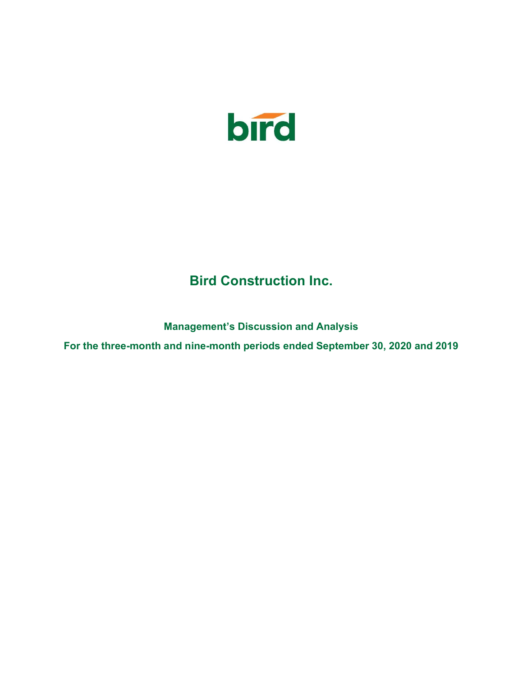

# Bird Construction Inc.

Management's Discussion and Analysis

For the three-month and nine-month periods ended September 30, 2020 and 2019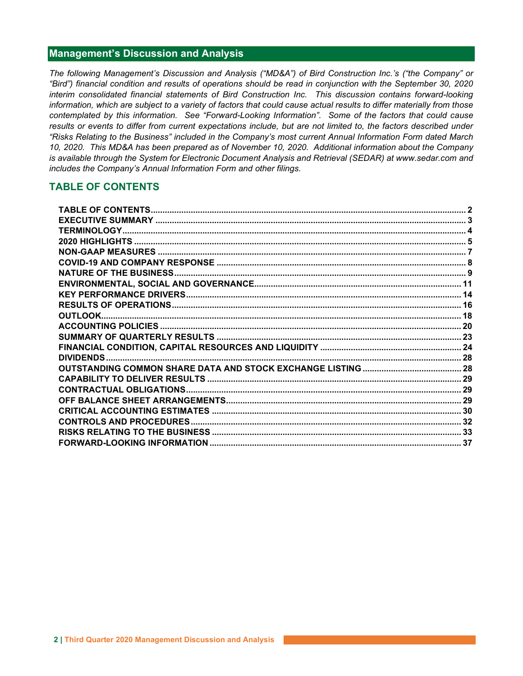# Management's Discussion and Analysis

The following Management's Discussion and Analysis ("MD&A") of Bird Construction Inc.'s ("the Company" or "Bird") financial condition and results of operations should be read in conjunction with the September 30, 2020 interim consolidated financial statements of Bird Construction Inc. This discussion contains forward-looking information, which are subject to a variety of factors that could cause actual results to differ materially from those contemplated by this information. See "Forward-Looking Information". Some of the factors that could cause results or events to differ from current expectations include, but are not limited to, the factors described under "Risks Relating to the Business" included in the Company's most current Annual Information Form dated March 10, 2020. This MD&A has been prepared as of November 10, 2020. Additional information about the Company is available through the System for Electronic Document Analysis and Retrieval (SEDAR) at www.sedar.com and includes the Company's Annual Information Form and other filings.

# TABLE OF CONTENTS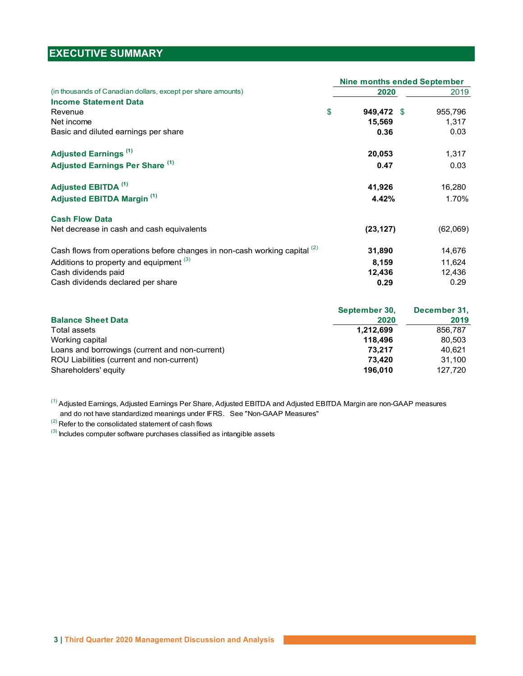# EXECUTIVE SUMMARY

|                                                                           |            | <b>Nine months ended September</b> |
|---------------------------------------------------------------------------|------------|------------------------------------|
| (in thousands of Canadian dollars, except per share amounts)              | 2020       | 2019                               |
| <b>Income Statement Data</b>                                              |            |                                    |
| \$<br>Revenue                                                             | 949,472 \$ | 955,796                            |
| Net income                                                                | 15,569     | 1,317                              |
| Basic and diluted earnings per share                                      | 0.36       | 0.03                               |
| Adjusted Earnings <sup>(1)</sup>                                          | 20,053     | 1,317                              |
| Adjusted Earnings Per Share (1)                                           | 0.47       | 0.03                               |
| Adjusted EBITDA <sup>(1)</sup>                                            | 41,926     | 16,280                             |
| Adjusted EBITDA Margin <sup>(1)</sup>                                     | 4.42%      | 1.70%                              |
| <b>Cash Flow Data</b>                                                     |            |                                    |
| Net decrease in cash and cash equivalents                                 | (23, 127)  | (62,069)                           |
| Cash flows from operations before changes in non-cash working capital (2) | 31,890     | 14,676                             |
| Additions to property and equipment (3)                                   | 8,159      | 11,624                             |
| Cash dividends paid                                                       | 12,436     | 12,436                             |
| Cash dividends declared per share                                         | 0.29       | 0.29                               |

| September 30, | December 31, |
|---------------|--------------|
| 2020          | 2019         |
| 1.212.699     | 856.787      |
| 118.496       | 80.503       |
| 73,217        | 40.621       |
| 73.420        | 31.100       |
| 196.010       | 127,720      |
|               |              |

 and do not have standardized meanings under IFRS. See "Non-GAAP Measures" <sup>(1)</sup> Adjusted Earnings, Adjusted Earnings Per Share, Adjusted EBITDA and Adjusted EBITDA Margin are non-GAAP measures

 $(2)$  Refer to the consolidated statement of cash flows

 $(3)$  Includes computer software purchases classified as intangible assets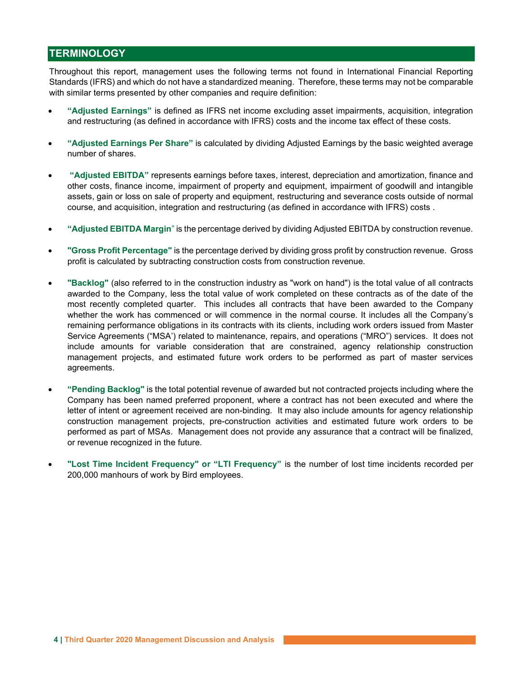# **TERMINOLOGY**

Throughout this report, management uses the following terms not found in International Financial Reporting Standards (IFRS) and which do not have a standardized meaning. Therefore, these terms may not be comparable with similar terms presented by other companies and require definition:

- "Adjusted Earnings" is defined as IFRS net income excluding asset impairments, acquisition, integration and restructuring (as defined in accordance with IFRS) costs and the income tax effect of these costs.
- "Adjusted Earnings Per Share" is calculated by dividing Adjusted Earnings by the basic weighted average number of shares.
- "Adjusted EBITDA" represents earnings before taxes, interest, depreciation and amortization, finance and other costs, finance income, impairment of property and equipment, impairment of goodwill and intangible assets, gain or loss on sale of property and equipment, restructuring and severance costs outside of normal course, and acquisition, integration and restructuring (as defined in accordance with IFRS) costs .
- "Adjusted EBITDA Margin" is the percentage derived by dividing Adjusted EBITDA by construction revenue.
- "Gross Profit Percentage" is the percentage derived by dividing gross profit by construction revenue. Gross profit is calculated by subtracting construction costs from construction revenue.
- "Backlog" (also referred to in the construction industry as "work on hand") is the total value of all contracts awarded to the Company, less the total value of work completed on these contracts as of the date of the most recently completed quarter. This includes all contracts that have been awarded to the Company whether the work has commenced or will commence in the normal course. It includes all the Company's remaining performance obligations in its contracts with its clients, including work orders issued from Master Service Agreements ("MSA') related to maintenance, repairs, and operations ("MRO") services. It does not include amounts for variable consideration that are constrained, agency relationship construction management projects, and estimated future work orders to be performed as part of master services agreements.
- "Pending Backlog" is the total potential revenue of awarded but not contracted projects including where the Company has been named preferred proponent, where a contract has not been executed and where the letter of intent or agreement received are non-binding. It may also include amounts for agency relationship construction management projects, pre-construction activities and estimated future work orders to be performed as part of MSAs. Management does not provide any assurance that a contract will be finalized, or revenue recognized in the future.
- "Lost Time Incident Frequency" or "LTI Frequency" is the number of lost time incidents recorded per 200,000 manhours of work by Bird employees.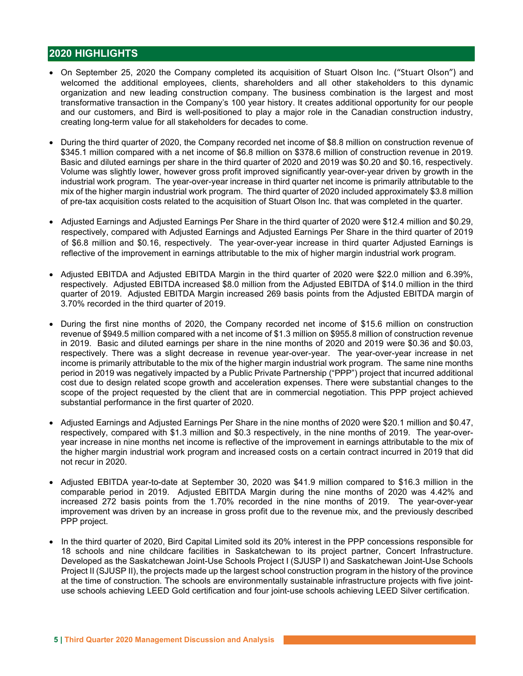# 2020 HIGHLIGHTS

- On September 25, 2020 the Company completed its acquisition of Stuart Olson Inc. ("Stuart Olson") and welcomed the additional employees, clients, shareholders and all other stakeholders to this dynamic organization and new leading construction company. The business combination is the largest and most transformative transaction in the Company's 100 year history. It creates additional opportunity for our people and our customers, and Bird is well-positioned to play a major role in the Canadian construction industry, creating long-term value for all stakeholders for decades to come.
- During the third quarter of 2020, the Company recorded net income of \$8.8 million on construction revenue of \$345.1 million compared with a net income of \$6.8 million on \$378.6 million of construction revenue in 2019. Basic and diluted earnings per share in the third quarter of 2020 and 2019 was \$0.20 and \$0.16, respectively. Volume was slightly lower, however gross profit improved significantly year-over-year driven by growth in the industrial work program. The year-over-year increase in third quarter net income is primarily attributable to the mix of the higher margin industrial work program. The third quarter of 2020 included approximately \$3.8 million of pre-tax acquisition costs related to the acquisition of Stuart Olson Inc. that was completed in the quarter.
- Adjusted Earnings and Adjusted Earnings Per Share in the third quarter of 2020 were \$12.4 million and \$0.29, respectively, compared with Adjusted Earnings and Adjusted Earnings Per Share in the third quarter of 2019 of \$6.8 million and \$0.16, respectively. The year-over-year increase in third quarter Adjusted Earnings is reflective of the improvement in earnings attributable to the mix of higher margin industrial work program.
- Adjusted EBITDA and Adjusted EBITDA Margin in the third quarter of 2020 were \$22.0 million and 6.39%, respectively. Adjusted EBITDA increased \$8.0 million from the Adjusted EBITDA of \$14.0 million in the third quarter of 2019. Adjusted EBITDA Margin increased 269 basis points from the Adjusted EBITDA margin of 3.70% recorded in the third quarter of 2019.
- During the first nine months of 2020, the Company recorded net income of \$15.6 million on construction revenue of \$949.5 million compared with a net income of \$1.3 million on \$955.8 million of construction revenue in 2019. Basic and diluted earnings per share in the nine months of 2020 and 2019 were \$0.36 and \$0.03, respectively. There was a slight decrease in revenue year-over-year. The year-over-year increase in net income is primarily attributable to the mix of the higher margin industrial work program. The same nine months period in 2019 was negatively impacted by a Public Private Partnership ("PPP") project that incurred additional cost due to design related scope growth and acceleration expenses. There were substantial changes to the scope of the project requested by the client that are in commercial negotiation. This PPP project achieved substantial performance in the first quarter of 2020.
- Adjusted Earnings and Adjusted Earnings Per Share in the nine months of 2020 were \$20.1 million and \$0.47, respectively, compared with \$1.3 million and \$0.3 respectively, in the nine months of 2019. The year-overyear increase in nine months net income is reflective of the improvement in earnings attributable to the mix of the higher margin industrial work program and increased costs on a certain contract incurred in 2019 that did not recur in 2020.
- Adjusted EBITDA year-to-date at September 30, 2020 was \$41.9 million compared to \$16.3 million in the comparable period in 2019. Adjusted EBITDA Margin during the nine months of 2020 was 4.42% and increased 272 basis points from the 1.70% recorded in the nine months of 2019. The year-over-year improvement was driven by an increase in gross profit due to the revenue mix, and the previously described PPP project.
- In the third quarter of 2020, Bird Capital Limited sold its 20% interest in the PPP concessions responsible for 18 schools and nine childcare facilities in Saskatchewan to its project partner, Concert Infrastructure. Developed as the Saskatchewan Joint-Use Schools Project I (SJUSP I) and Saskatchewan Joint-Use Schools Project II (SJUSP II), the projects made up the largest school construction program in the history of the province at the time of construction. The schools are environmentally sustainable infrastructure projects with five jointuse schools achieving LEED Gold certification and four joint-use schools achieving LEED Silver certification.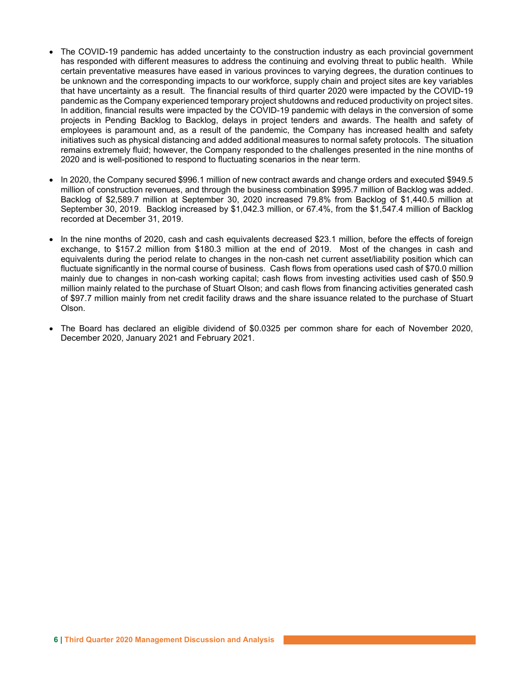- The COVID-19 pandemic has added uncertainty to the construction industry as each provincial government has responded with different measures to address the continuing and evolving threat to public health. While certain preventative measures have eased in various provinces to varying degrees, the duration continues to be unknown and the corresponding impacts to our workforce, supply chain and project sites are key variables that have uncertainty as a result. The financial results of third quarter 2020 were impacted by the COVID-19 pandemic as the Company experienced temporary project shutdowns and reduced productivity on project sites. In addition, financial results were impacted by the COVID-19 pandemic with delays in the conversion of some projects in Pending Backlog to Backlog, delays in project tenders and awards. The health and safety of employees is paramount and, as a result of the pandemic, the Company has increased health and safety initiatives such as physical distancing and added additional measures to normal safety protocols. The situation remains extremely fluid; however, the Company responded to the challenges presented in the nine months of 2020 and is well-positioned to respond to fluctuating scenarios in the near term.
- In 2020, the Company secured \$996.1 million of new contract awards and change orders and executed \$949.5 million of construction revenues, and through the business combination \$995.7 million of Backlog was added. Backlog of \$2,589.7 million at September 30, 2020 increased 79.8% from Backlog of \$1,440.5 million at September 30, 2019. Backlog increased by \$1,042.3 million, or 67.4%, from the \$1,547.4 million of Backlog recorded at December 31, 2019.
- In the nine months of 2020, cash and cash equivalents decreased \$23.1 million, before the effects of foreign exchange, to \$157.2 million from \$180.3 million at the end of 2019. Most of the changes in cash and equivalents during the period relate to changes in the non-cash net current asset/liability position which can fluctuate significantly in the normal course of business. Cash flows from operations used cash of \$70.0 million mainly due to changes in non-cash working capital; cash flows from investing activities used cash of \$50.9 million mainly related to the purchase of Stuart Olson; and cash flows from financing activities generated cash of \$97.7 million mainly from net credit facility draws and the share issuance related to the purchase of Stuart Olson.
- The Board has declared an eligible dividend of \$0.0325 per common share for each of November 2020, December 2020, January 2021 and February 2021.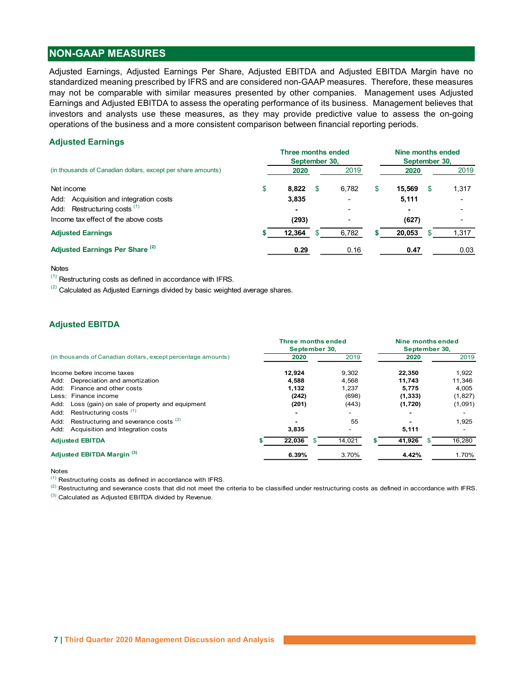# NON-GAAP MEASURES

#### Adjusted Earnings

| <b>NON-GAAP MEASURES</b>                                                                                                                                                                                                                                                                                                                                                                                                                                                                                                                                                                                                                        |   |                           |             |   |                       |     |       |
|-------------------------------------------------------------------------------------------------------------------------------------------------------------------------------------------------------------------------------------------------------------------------------------------------------------------------------------------------------------------------------------------------------------------------------------------------------------------------------------------------------------------------------------------------------------------------------------------------------------------------------------------------|---|---------------------------|-------------|---|-----------------------|-----|-------|
| Adjusted Earnings, Adjusted Earnings Per Share, Adjusted EBITDA and Adjusted EBITDA Margin have no<br>standardized meaning prescribed by IFRS and are considered non-GAAP measures. Therefore, these measures<br>may not be comparable with similar measures presented by other companies. Management uses Adjusted<br>Earnings and Adjusted EBITDA to assess the operating performance of its business. Management believes that<br>investors and analysts use these measures, as they may provide predictive value to assess the on-going<br>operations of the business and a more consistent comparison between financial reporting periods. |   |                           |             |   |                       |     |       |
|                                                                                                                                                                                                                                                                                                                                                                                                                                                                                                                                                                                                                                                 |   |                           |             |   |                       |     |       |
| <b>Adjusted Earnings</b>                                                                                                                                                                                                                                                                                                                                                                                                                                                                                                                                                                                                                        |   |                           |             |   |                       |     |       |
|                                                                                                                                                                                                                                                                                                                                                                                                                                                                                                                                                                                                                                                 |   | <b>Three months ended</b> |             |   | Nine months ended     |     |       |
| (in thousands of Canadian dollars, except per share amounts)                                                                                                                                                                                                                                                                                                                                                                                                                                                                                                                                                                                    |   | September 30,<br>2020     | 2019        |   | September 30,<br>2020 |     | 2019  |
| Net income                                                                                                                                                                                                                                                                                                                                                                                                                                                                                                                                                                                                                                      | S | 8,822                     | \$<br>6,782 | S | 15,569                | -\$ | 1,317 |
| Acquisition and integration costs<br>Add:                                                                                                                                                                                                                                                                                                                                                                                                                                                                                                                                                                                                       |   | 3,835                     |             |   | 5,111                 |     |       |
| Add: Restructuring costs <sup>(1)</sup>                                                                                                                                                                                                                                                                                                                                                                                                                                                                                                                                                                                                         |   |                           |             |   |                       |     |       |
| Income tax effect of the above costs                                                                                                                                                                                                                                                                                                                                                                                                                                                                                                                                                                                                            |   | (293)                     |             |   | (627)                 |     |       |
| <b>Adjusted Earnings</b>                                                                                                                                                                                                                                                                                                                                                                                                                                                                                                                                                                                                                        |   | 12,364                    | 6,782       |   | 20,053                | -S  | 1,317 |

#### **Notes**

# Adjusted EBITDA

| Income tax effect of the above costs                                                                                                                                                                                        | (293)                     |        | (627)             |         |
|-----------------------------------------------------------------------------------------------------------------------------------------------------------------------------------------------------------------------------|---------------------------|--------|-------------------|---------|
| <b>Adjusted Earnings</b>                                                                                                                                                                                                    | 12,364                    | 6,782  | 20,053<br>\$.     | 1,317   |
| Adjusted Earnings Per Share <sup>(2)</sup>                                                                                                                                                                                  | 0.29                      | 0.16   | 0.47              | 0.03    |
| <b>Notes</b>                                                                                                                                                                                                                |                           |        |                   |         |
| Restructuring costs as defined in accordance with IFRS.                                                                                                                                                                     |                           |        |                   |         |
| <sup>(2)</sup> Calculated as Adjusted Earnings divided by basic weighted average shares.                                                                                                                                    |                           |        |                   |         |
|                                                                                                                                                                                                                             |                           |        |                   |         |
|                                                                                                                                                                                                                             |                           |        |                   |         |
| <b>Adjusted EBITDA</b>                                                                                                                                                                                                      |                           |        |                   |         |
|                                                                                                                                                                                                                             | <b>Three months ended</b> |        | Nine months ended |         |
|                                                                                                                                                                                                                             | September 30,             |        | September 30,     |         |
| (in thousands of Canadian dollars, except percentage amounts)                                                                                                                                                               | 2020                      | 2019   | 2020              | 2019    |
| Income before income taxes                                                                                                                                                                                                  | 12,924                    | 9,302  | 22,350            | 1,922   |
| Depreciation and amortization<br>Add:                                                                                                                                                                                       | 4,588                     | 4,568  | 11,743            | 11,346  |
| Finance and other costs<br>Add:                                                                                                                                                                                             | 1,132                     | 1,237  | 5,775             | 4,005   |
| Less: Finance income                                                                                                                                                                                                        | (242)                     | (698)  | (1, 333)          | (1,827) |
| Loss (gain) on sale of property and equipment<br>Add:                                                                                                                                                                       | (201)                     | (443)  | (1,720)           | (1,091) |
| Restructuring costs $(1)$<br>Add:                                                                                                                                                                                           |                           |        |                   |         |
| Restructuring and severance costs <sup>(2)</sup><br>Add:                                                                                                                                                                    |                           | 55     |                   | 1,925   |
| Add: Acquisition and Integration costs                                                                                                                                                                                      | 3,835                     |        | 5,111             |         |
| <b>Adjusted EBITDA</b>                                                                                                                                                                                                      | 22,036<br>- SS            | 14,021 | 41,926<br>- \$    | 16,280  |
| Adjusted EBITDA Margin <sup>(3)</sup>                                                                                                                                                                                       | 6.39%                     | 3.70%  | 4.42%             | 1.70%   |
| Notes                                                                                                                                                                                                                       |                           |        |                   |         |
| <sup>(1)</sup> Restructuring costs as defined in accordance with IFRS.                                                                                                                                                      |                           |        |                   |         |
| <sup>(2)</sup> Restructuring and severance costs that did not meet the criteria to be classified under restructuring costs as defined in accordance with IFRS.                                                              |                           |        |                   |         |
| $(3)$ and $(3)$ and $(3)$ and $(3)$ and $(3)$ and $(3)$ and $(3)$ and $(3)$ and $(3)$ and $(3)$ and $(3)$ and $(3)$ and $(3)$ and $(3)$ and $(3)$ and $(3)$ and $(3)$ and $(3)$ and $(3)$ and $(3)$ and $(3)$ and $(3)$ and |                           |        |                   |         |

#### Notes

(3) Calculated as Adjusted EBITDA divided by Revenue.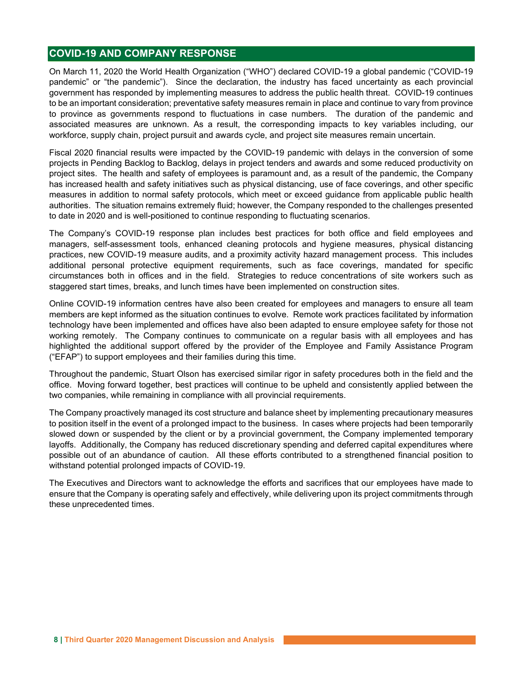# COVID-19 AND COMPANY RESPONSE

On March 11, 2020 the World Health Organization ("WHO") declared COVID-19 a global pandemic ("COVID-19 pandemic" or "the pandemic"). Since the declaration, the industry has faced uncertainty as each provincial government has responded by implementing measures to address the public health threat. COVID-19 continues to be an important consideration; preventative safety measures remain in place and continue to vary from province to province as governments respond to fluctuations in case numbers. The duration of the pandemic and associated measures are unknown. As a result, the corresponding impacts to key variables including, our workforce, supply chain, project pursuit and awards cycle, and project site measures remain uncertain.

Fiscal 2020 financial results were impacted by the COVID-19 pandemic with delays in the conversion of some projects in Pending Backlog to Backlog, delays in project tenders and awards and some reduced productivity on project sites. The health and safety of employees is paramount and, as a result of the pandemic, the Company has increased health and safety initiatives such as physical distancing, use of face coverings, and other specific measures in addition to normal safety protocols, which meet or exceed guidance from applicable public health authorities. The situation remains extremely fluid; however, the Company responded to the challenges presented to date in 2020 and is well-positioned to continue responding to fluctuating scenarios.

The Company's COVID-19 response plan includes best practices for both office and field employees and managers, self-assessment tools, enhanced cleaning protocols and hygiene measures, physical distancing practices, new COVID-19 measure audits, and a proximity activity hazard management process. This includes additional personal protective equipment requirements, such as face coverings, mandated for specific circumstances both in offices and in the field. Strategies to reduce concentrations of site workers such as staggered start times, breaks, and lunch times have been implemented on construction sites.

Online COVID-19 information centres have also been created for employees and managers to ensure all team members are kept informed as the situation continues to evolve. Remote work practices facilitated by information technology have been implemented and offices have also been adapted to ensure employee safety for those not working remotely. The Company continues to communicate on a regular basis with all employees and has highlighted the additional support offered by the provider of the Employee and Family Assistance Program ("EFAP") to support employees and their families during this time.

Throughout the pandemic, Stuart Olson has exercised similar rigor in safety procedures both in the field and the office. Moving forward together, best practices will continue to be upheld and consistently applied between the two companies, while remaining in compliance with all provincial requirements.

The Company proactively managed its cost structure and balance sheet by implementing precautionary measures to position itself in the event of a prolonged impact to the business. In cases where projects had been temporarily slowed down or suspended by the client or by a provincial government, the Company implemented temporary layoffs. Additionally, the Company has reduced discretionary spending and deferred capital expenditures where possible out of an abundance of caution. All these efforts contributed to a strengthened financial position to withstand potential prolonged impacts of COVID-19.

The Executives and Directors want to acknowledge the efforts and sacrifices that our employees have made to ensure that the Company is operating safely and effectively, while delivering upon its project commitments through these unprecedented times.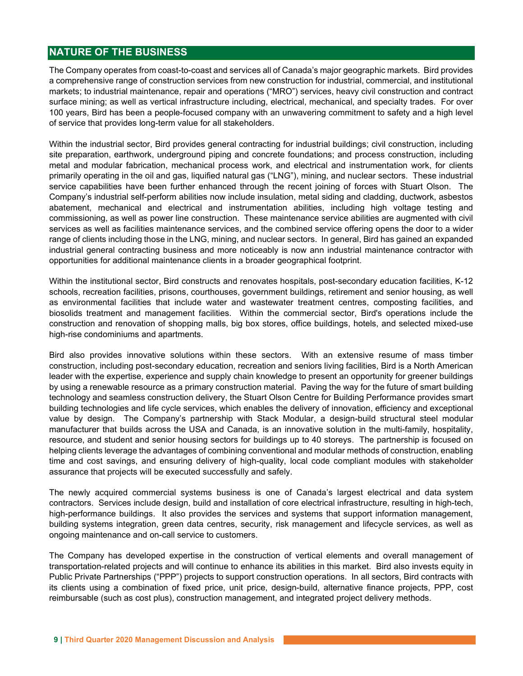# NATURE OF THE BUSINESS

The Company operates from coast-to-coast and services all of Canada's major geographic markets. Bird provides a comprehensive range of construction services from new construction for industrial, commercial, and institutional markets; to industrial maintenance, repair and operations ("MRO") services, heavy civil construction and contract surface mining; as well as vertical infrastructure including, electrical, mechanical, and specialty trades. For over 100 years, Bird has been a people-focused company with an unwavering commitment to safety and a high level of service that provides long-term value for all stakeholders.

Within the industrial sector, Bird provides general contracting for industrial buildings; civil construction, including site preparation, earthwork, underground piping and concrete foundations; and process construction, including metal and modular fabrication, mechanical process work, and electrical and instrumentation work, for clients primarily operating in the oil and gas, liquified natural gas ("LNG"), mining, and nuclear sectors. These industrial service capabilities have been further enhanced through the recent joining of forces with Stuart Olson. The Company's industrial self-perform abilities now include insulation, metal siding and cladding, ductwork, asbestos abatement, mechanical and electrical and instrumentation abilities, including high voltage testing and commissioning, as well as power line construction. These maintenance service abilities are augmented with civil services as well as facilities maintenance services, and the combined service offering opens the door to a wider range of clients including those in the LNG, mining, and nuclear sectors. In general, Bird has gained an expanded industrial general contracting business and more noticeably is now ann industrial maintenance contractor with opportunities for additional maintenance clients in a broader geographical footprint.

Within the institutional sector, Bird constructs and renovates hospitals, post-secondary education facilities, K-12 schools, recreation facilities, prisons, courthouses, government buildings, retirement and senior housing, as well as environmental facilities that include water and wastewater treatment centres, composting facilities, and biosolids treatment and management facilities. Within the commercial sector, Bird's operations include the construction and renovation of shopping malls, big box stores, office buildings, hotels, and selected mixed-use high-rise condominiums and apartments.

Bird also provides innovative solutions within these sectors. With an extensive resume of mass timber construction, including post-secondary education, recreation and seniors living facilities, Bird is a North American leader with the expertise, experience and supply chain knowledge to present an opportunity for greener buildings by using a renewable resource as a primary construction material. Paving the way for the future of smart building technology and seamless construction delivery, the Stuart Olson Centre for Building Performance provides smart building technologies and life cycle services, which enables the delivery of innovation, efficiency and exceptional value by design. The Company's partnership with Stack Modular, a design-build structural steel modular manufacturer that builds across the USA and Canada, is an innovative solution in the multi-family, hospitality, resource, and student and senior housing sectors for buildings up to 40 storeys. The partnership is focused on helping clients leverage the advantages of combining conventional and modular methods of construction, enabling time and cost savings, and ensuring delivery of high-quality, local code compliant modules with stakeholder assurance that projects will be executed successfully and safely.

The newly acquired commercial systems business is one of Canada's largest electrical and data system contractors. Services include design, build and installation of core electrical infrastructure, resulting in high-tech, high-performance buildings. It also provides the services and systems that support information management, building systems integration, green data centres, security, risk management and lifecycle services, as well as ongoing maintenance and on-call service to customers.

The Company has developed expertise in the construction of vertical elements and overall management of transportation-related projects and will continue to enhance its abilities in this market. Bird also invests equity in Public Private Partnerships ("PPP") projects to support construction operations. In all sectors, Bird contracts with its clients using a combination of fixed price, unit price, design-build, alternative finance projects, PPP, cost reimbursable (such as cost plus), construction management, and integrated project delivery methods.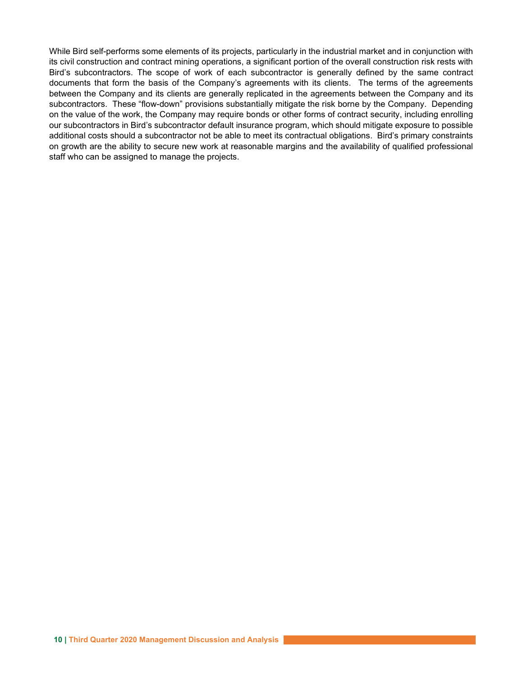While Bird self-performs some elements of its projects, particularly in the industrial market and in conjunction with its civil construction and contract mining operations, a significant portion of the overall construction risk rests with Bird's subcontractors. The scope of work of each subcontractor is generally defined by the same contract documents that form the basis of the Company's agreements with its clients. The terms of the agreements between the Company and its clients are generally replicated in the agreements between the Company and its subcontractors. These "flow-down" provisions substantially mitigate the risk borne by the Company. Depending on the value of the work, the Company may require bonds or other forms of contract security, including enrolling our subcontractors in Bird's subcontractor default insurance program, which should mitigate exposure to possible additional costs should a subcontractor not be able to meet its contractual obligations. Bird's primary constraints on growth are the ability to secure new work at reasonable margins and the availability of qualified professional staff who can be assigned to manage the projects.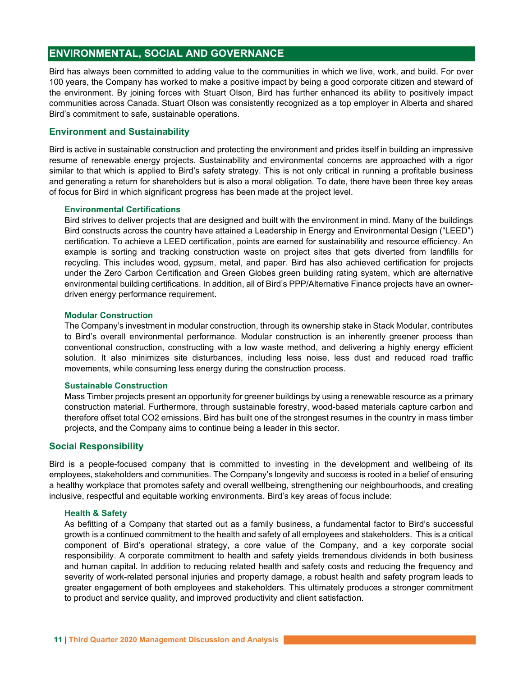# ENVIRONMENTAL, SOCIAL AND GOVERNANCE

Bird has always been committed to adding value to the communities in which we live, work, and build. For over 100 years, the Company has worked to make a positive impact by being a good corporate citizen and steward of the environment. By joining forces with Stuart Olson, Bird has further enhanced its ability to positively impact communities across Canada. Stuart Olson was consistently recognized as a top employer in Alberta and shared Bird's commitment to safe, sustainable operations.

### Environment and Sustainability

Bird is active in sustainable construction and protecting the environment and prides itself in building an impressive resume of renewable energy projects. Sustainability and environmental concerns are approached with a rigor similar to that which is applied to Bird's safety strategy. This is not only critical in running a profitable business and generating a return for shareholders but is also a moral obligation. To date, there have been three key areas of focus for Bird in which significant progress has been made at the project level.

#### Environmental Certifications

Bird strives to deliver projects that are designed and built with the environment in mind. Many of the buildings Bird constructs across the country have attained a Leadership in Energy and Environmental Design ("LEED") certification. To achieve a LEED certification, points are earned for sustainability and resource efficiency. An example is sorting and tracking construction waste on project sites that gets diverted from landfills for recycling. This includes wood, gypsum, metal, and paper. Bird has also achieved certification for projects under the Zero Carbon Certification and Green Globes green building rating system, which are alternative environmental building certifications. In addition, all of Bird's PPP/Alternative Finance projects have an ownerdriven energy performance requirement.

#### Modular Construction

The Company's investment in modular construction, through its ownership stake in Stack Modular, contributes to Bird's overall environmental performance. Modular construction is an inherently greener process than conventional construction, constructing with a low waste method, and delivering a highly energy efficient solution. It also minimizes site disturbances, including less noise, less dust and reduced road traffic movements, while consuming less energy during the construction process.

#### Sustainable Construction

Mass Timber projects present an opportunity for greener buildings by using a renewable resource as a primary construction material. Furthermore, through sustainable forestry, wood-based materials capture carbon and therefore offset total CO2 emissions. Bird has built one of the strongest resumes in the country in mass timber projects, and the Company aims to continue being a leader in this sector.

#### Social Responsibility

Bird is a people-focused company that is committed to investing in the development and wellbeing of its employees, stakeholders and communities. The Company's longevity and success is rooted in a belief of ensuring a healthy workplace that promotes safety and overall wellbeing, strengthening our neighbourhoods, and creating inclusive, respectful and equitable working environments. Bird's key areas of focus include:

#### Health & Safety

As befitting of a Company that started out as a family business, a fundamental factor to Bird's successful growth is a continued commitment to the health and safety of all employees and stakeholders. This is a critical component of Bird's operational strategy, a core value of the Company, and a key corporate social responsibility. A corporate commitment to health and safety yields tremendous dividends in both business and human capital. In addition to reducing related health and safety costs and reducing the frequency and severity of work-related personal injuries and property damage, a robust health and safety program leads to greater engagement of both employees and stakeholders. This ultimately produces a stronger commitment to product and service quality, and improved productivity and client satisfaction.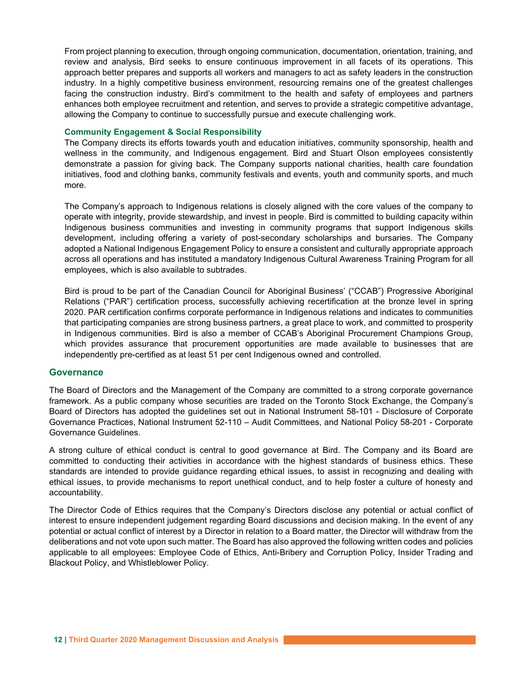From project planning to execution, through ongoing communication, documentation, orientation, training, and review and analysis, Bird seeks to ensure continuous improvement in all facets of its operations. This approach better prepares and supports all workers and managers to act as safety leaders in the construction industry. In a highly competitive business environment, resourcing remains one of the greatest challenges facing the construction industry. Bird's commitment to the health and safety of employees and partners enhances both employee recruitment and retention, and serves to provide a strategic competitive advantage, allowing the Company to continue to successfully pursue and execute challenging work.

### Community Engagement & Social Responsibility

The Company directs its efforts towards youth and education initiatives, community sponsorship, health and wellness in the community, and Indigenous engagement. Bird and Stuart Olson employees consistently demonstrate a passion for giving back. The Company supports national charities, health care foundation initiatives, food and clothing banks, community festivals and events, youth and community sports, and much more.

The Company's approach to Indigenous relations is closely aligned with the core values of the company to operate with integrity, provide stewardship, and invest in people. Bird is committed to building capacity within Indigenous business communities and investing in community programs that support Indigenous skills development, including offering a variety of post-secondary scholarships and bursaries. The Company adopted a National Indigenous Engagement Policy to ensure a consistent and culturally appropriate approach across all operations and has instituted a mandatory Indigenous Cultural Awareness Training Program for all employees, which is also available to subtrades.

Bird is proud to be part of the Canadian Council for Aboriginal Business' ("CCAB") Progressive Aboriginal Relations ("PAR") certification process, successfully achieving recertification at the bronze level in spring 2020. PAR certification confirms corporate performance in Indigenous relations and indicates to communities that participating companies are strong business partners, a great place to work, and committed to prosperity in Indigenous communities. Bird is also a member of CCAB's Aboriginal Procurement Champions Group, which provides assurance that procurement opportunities are made available to businesses that are independently pre-certified as at least 51 per cent Indigenous owned and controlled.

# **Governance**

The Board of Directors and the Management of the Company are committed to a strong corporate governance framework. As a public company whose securities are traded on the Toronto Stock Exchange, the Company's Board of Directors has adopted the guidelines set out in National Instrument 58-101 - Disclosure of Corporate Governance Practices, National Instrument 52-110 – Audit Committees, and National Policy 58-201 - Corporate Governance Guidelines.

A strong culture of ethical conduct is central to good governance at Bird. The Company and its Board are committed to conducting their activities in accordance with the highest standards of business ethics. These standards are intended to provide guidance regarding ethical issues, to assist in recognizing and dealing with ethical issues, to provide mechanisms to report unethical conduct, and to help foster a culture of honesty and accountability.

The Director Code of Ethics requires that the Company's Directors disclose any potential or actual conflict of interest to ensure independent judgement regarding Board discussions and decision making. In the event of any potential or actual conflict of interest by a Director in relation to a Board matter, the Director will withdraw from the deliberations and not vote upon such matter. The Board has also approved the following written codes and policies applicable to all employees: Employee Code of Ethics, Anti-Bribery and Corruption Policy, Insider Trading and Blackout Policy, and Whistleblower Policy.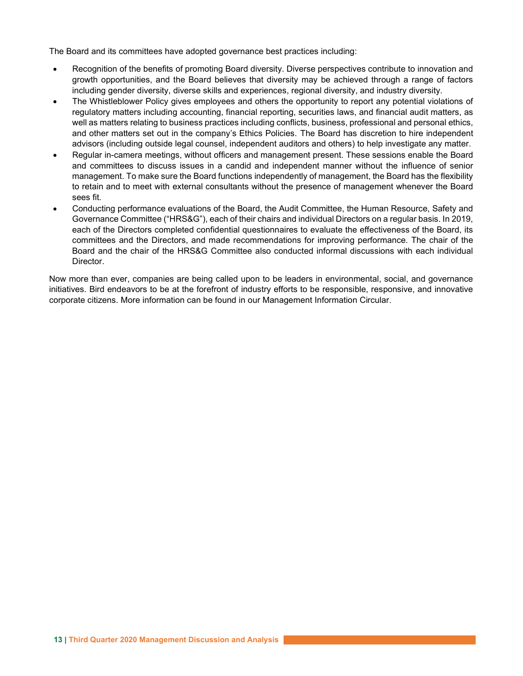The Board and its committees have adopted governance best practices including:

- Recognition of the benefits of promoting Board diversity. Diverse perspectives contribute to innovation and growth opportunities, and the Board believes that diversity may be achieved through a range of factors including gender diversity, diverse skills and experiences, regional diversity, and industry diversity.
- The Whistleblower Policy gives employees and others the opportunity to report any potential violations of regulatory matters including accounting, financial reporting, securities laws, and financial audit matters, as well as matters relating to business practices including conflicts, business, professional and personal ethics, and other matters set out in the company's Ethics Policies. The Board has discretion to hire independent advisors (including outside legal counsel, independent auditors and others) to help investigate any matter.
- Regular in-camera meetings, without officers and management present. These sessions enable the Board and committees to discuss issues in a candid and independent manner without the influence of senior management. To make sure the Board functions independently of management, the Board has the flexibility to retain and to meet with external consultants without the presence of management whenever the Board sees fit.
- Conducting performance evaluations of the Board, the Audit Committee, the Human Resource, Safety and Governance Committee ("HRS&G"), each of their chairs and individual Directors on a regular basis. In 2019, each of the Directors completed confidential questionnaires to evaluate the effectiveness of the Board, its committees and the Directors, and made recommendations for improving performance. The chair of the Board and the chair of the HRS&G Committee also conducted informal discussions with each individual Director.

Now more than ever, companies are being called upon to be leaders in environmental, social, and governance initiatives. Bird endeavors to be at the forefront of industry efforts to be responsible, responsive, and innovative corporate citizens. More information can be found in our Management Information Circular.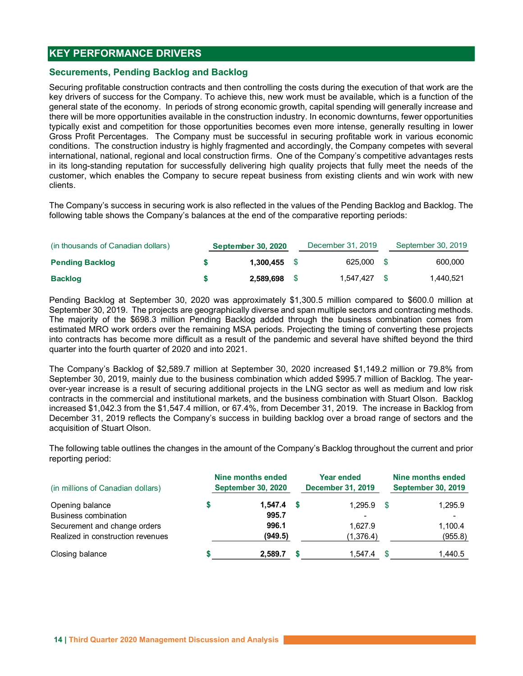# KEY PERFORMANCE DRIVERS

### Securements, Pending Backlog and Backlog

Securing profitable construction contracts and then controlling the costs during the execution of that work are the key drivers of success for the Company. To achieve this, new work must be available, which is a function of the general state of the economy. In periods of strong economic growth, capital spending will generally increase and there will be more opportunities available in the construction industry. In economic downturns, fewer opportunities typically exist and competition for those opportunities becomes even more intense, generally resulting in lower Gross Profit Percentages. The Company must be successful in securing profitable work in various economic conditions. The construction industry is highly fragmented and accordingly, the Company competes with several international, national, regional and local construction firms. One of the Company's competitive advantages rests in its long-standing reputation for successfully delivering high quality projects that fully meet the needs of the customer, which enables the Company to secure repeat business from existing clients and win work with new clients. **XEY PERFORMANCE DRIVERS**<br>
Securing profitable construction contracts and then controlling the costs during the execution of that work are the<br>
seguring profitable construction contracts and then controlling the costs duri **XEY PERFORMANCE DRIVERS**<br>
Securitimes, Pending Backlog and Backlog<br>
Securitimes to forecass for the Company. To achieve this, new work must be available, which sis a function<br>
seperal state of the conomy. In periods of s **Example 11**<br> **Becuring moritals in each constrained Backlog<br>
Becuring moritable construction contracts and then controlling the costs during the execution of that work are the<br>
tey drivers of success for the Company. To a** 

The Company's success in securing work is also reflected in the values of the Pending Backlog and Backlog. The following table shows the Company's balances at the end of the comparative reporting periods:

| (in thousands of Canadian dollars) | <b>September 30, 2020</b> |      | December 31, 2019 |          | September 30, 2019 |
|------------------------------------|---------------------------|------|-------------------|----------|--------------------|
| <b>Pending Backlog</b>             | 1.300.455                 |      | 625,000 \$        |          | 600,000            |
| <b>Backlog</b>                     | 2.589.698                 | - \$ | 1.547.427         | <b>S</b> | 1,440,521          |

Pending Backlog at September 30, 2020 was approximately \$1,300.5 million compared to \$600.0 million at September 30, 2019. The projects are geographically diverse and span multiple sectors and contracting methods. The majority of the \$698.3 million Pending Backlog added through the business combination comes from estimated MRO work orders over the remaining MSA periods. Projecting the timing of converting these projects into contracts has become more difficult as a result of the pandemic and several have shifted beyond the third quarter into the fourth quarter of 2020 and into 2021.

The Company's Backlog of \$2,589.7 million at September 30, 2020 increased \$1,149.2 million or 79.8% from September 30, 2019, mainly due to the business combination which added \$995.7 million of Backlog. The yearover-year increase is a result of securing additional projects in the LNG sector as well as medium and low risk contracts in the commercial and institutional markets, and the business combination with Stuart Olson. Backlog increased \$1,042.3 from the \$1,547.4 million, or 67.4%, from December 31, 2019. The increase in Backlog from December 31, 2019 reflects the Company's success in building backlog over a broad range of sectors and the acquisition of Stuart Olson.

The following table outlines the changes in the amount of the Company's Backlog throughout the current and prior reporting period:

| (in millions of Canadian dollars) | Nine months ended<br><b>September 30, 2020</b> | Year ended<br><b>December 31, 2019</b> | Nine months ended<br><b>September 30, 2019</b> |
|-----------------------------------|------------------------------------------------|----------------------------------------|------------------------------------------------|
| Opening balance                   | $1,547.4$ \$                                   | 1,295.9                                | 1,295.9                                        |
| <b>Business combination</b>       | 995.7                                          |                                        |                                                |
| Securement and change orders      | 996.1                                          | 1.627.9                                | 1,100.4                                        |
| Realized in construction revenues | (949.5)                                        | (1,376.4)                              | (955.8)                                        |
| Closing balance                   | 2,589.7                                        | 1,547.4                                | .440.5                                         |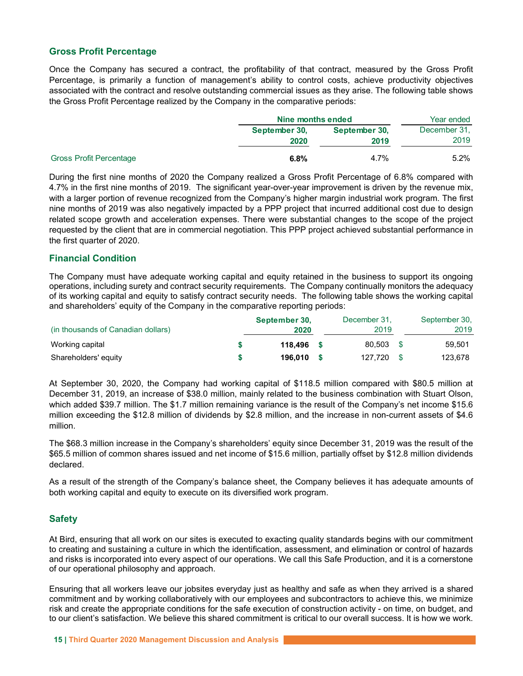# Gross Profit Percentage

| <b>Gross Profit Percentage</b>                                                                                                                                                                                                                                                                                      |                                    |               |                            |
|---------------------------------------------------------------------------------------------------------------------------------------------------------------------------------------------------------------------------------------------------------------------------------------------------------------------|------------------------------------|---------------|----------------------------|
| Once the Company has secured a contract, the profitability of that contract, measured by the Gross Profit                                                                                                                                                                                                           |                                    |               |                            |
| Percentage, is primarily a function of management's ability to control costs, achieve productivity objectives<br>associated with the contract and resolve outstanding commercial issues as they arise. The following table shows<br>the Gross Profit Percentage realized by the Company in the comparative periods: |                                    |               |                            |
|                                                                                                                                                                                                                                                                                                                     |                                    |               |                            |
|                                                                                                                                                                                                                                                                                                                     | Nine months ended<br>September 30, | September 30, | Year ended<br>December 31, |
|                                                                                                                                                                                                                                                                                                                     | 2020                               | 2019          | 2019                       |
| <b>Gross Profit Percentage</b>                                                                                                                                                                                                                                                                                      | 6.8%                               | 4.7%          | 5.2%                       |

During the first nine months of 2020 the Company realized a Gross Profit Percentage of 6.8% compared with 4.7% in the first nine months of 2019. The significant year-over-year improvement is driven by the revenue mix, with a larger portion of revenue recognized from the Company's higher margin industrial work program. The first nine months of 2019 was also negatively impacted by a PPP project that incurred additional cost due to design related scope growth and acceleration expenses. There were substantial changes to the scope of the project requested by the client that are in commercial negotiation. This PPP project achieved substantial performance in the first quarter of 2020.

# Financial Condition

The Company must have adequate working capital and equity retained in the business to support its ongoing operations, including surety and contract security requirements. The Company continually monitors the adequacy of its working capital and equity to satisfy contract security needs. The following table shows the working capital and shareholders' equity of the Company in the comparative reporting periods:

|                                    | September 30, | December 31. | September 30, |
|------------------------------------|---------------|--------------|---------------|
| (in thousands of Canadian dollars) | 2020          | 2019         | 2019          |
| Working capital                    | 118.496       | 80,503       | 59,501        |
| Shareholders' equity               | 196.010       | 127,720      | 123,678       |

At September 30, 2020, the Company had working capital of \$118.5 million compared with \$80.5 million at December 31, 2019, an increase of \$38.0 million, mainly related to the business combination with Stuart Olson, which added \$39.7 million. The \$1.7 million remaining variance is the result of the Company's net income \$15.6 million exceeding the \$12.8 million of dividends by \$2.8 million, and the increase in non-current assets of \$4.6 million.

The \$68.3 million increase in the Company's shareholders' equity since December 31, 2019 was the result of the \$65.5 million of common shares issued and net income of \$15.6 million, partially offset by \$12.8 million dividends declared.

As a result of the strength of the Company's balance sheet, the Company believes it has adequate amounts of both working capital and equity to execute on its diversified work program.

# Safety

At Bird, ensuring that all work on our sites is executed to exacting quality standards begins with our commitment to creating and sustaining a culture in which the identification, assessment, and elimination or control of hazards and risks is incorporated into every aspect of our operations. We call this Safe Production, and it is a cornerstone of our operational philosophy and approach.

Ensuring that all workers leave our jobsites everyday just as healthy and safe as when they arrived is a shared commitment and by working collaboratively with our employees and subcontractors to achieve this, we minimize risk and create the appropriate conditions for the safe execution of construction activity - on time, on budget, and to our client's satisfaction. We believe this shared commitment is critical to our overall success. It is how we work.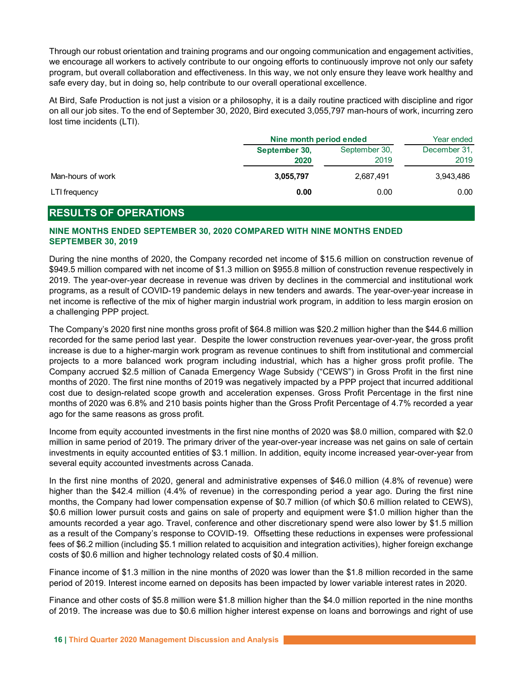| Through our robust orientation and training programs and our ongoing communication and engagement activities,<br>we encourage all workers to actively contribute to our ongoing efforts to continuously improve not only our safety<br>program, but overall collaboration and effectiveness. In this way, we not only ensure they leave work healthy and<br>safe every day, but in doing so, help contribute to our overall operational excellence.<br>At Bird, Safe Production is not just a vision or a philosophy, it is a daily routine practiced with discipline and rigor<br>on all our job sites. To the end of September 30, 2020, Bird executed 3,055,797 man-hours of work, incurring zero |
|------------------------------------------------------------------------------------------------------------------------------------------------------------------------------------------------------------------------------------------------------------------------------------------------------------------------------------------------------------------------------------------------------------------------------------------------------------------------------------------------------------------------------------------------------------------------------------------------------------------------------------------------------------------------------------------------------|
|                                                                                                                                                                                                                                                                                                                                                                                                                                                                                                                                                                                                                                                                                                      |
|                                                                                                                                                                                                                                                                                                                                                                                                                                                                                                                                                                                                                                                                                                      |
|                                                                                                                                                                                                                                                                                                                                                                                                                                                                                                                                                                                                                                                                                                      |
|                                                                                                                                                                                                                                                                                                                                                                                                                                                                                                                                                                                                                                                                                                      |
|                                                                                                                                                                                                                                                                                                                                                                                                                                                                                                                                                                                                                                                                                                      |
|                                                                                                                                                                                                                                                                                                                                                                                                                                                                                                                                                                                                                                                                                                      |
|                                                                                                                                                                                                                                                                                                                                                                                                                                                                                                                                                                                                                                                                                                      |
|                                                                                                                                                                                                                                                                                                                                                                                                                                                                                                                                                                                                                                                                                                      |
| lost time incidents (LTI).                                                                                                                                                                                                                                                                                                                                                                                                                                                                                                                                                                                                                                                                           |
| Nine month period ended<br>Year ended                                                                                                                                                                                                                                                                                                                                                                                                                                                                                                                                                                                                                                                                |
| September 30,<br>December 31,<br>September 30,                                                                                                                                                                                                                                                                                                                                                                                                                                                                                                                                                                                                                                                       |
| 2019<br>2019<br>2020                                                                                                                                                                                                                                                                                                                                                                                                                                                                                                                                                                                                                                                                                 |
| Man-hours of work<br>3,055,797<br>2,687,491<br>3,943,486                                                                                                                                                                                                                                                                                                                                                                                                                                                                                                                                                                                                                                             |
|                                                                                                                                                                                                                                                                                                                                                                                                                                                                                                                                                                                                                                                                                                      |
| 0.00<br>0.00<br>LTI frequency<br>0.00                                                                                                                                                                                                                                                                                                                                                                                                                                                                                                                                                                                                                                                                |

# RESULTS OF OPERATIONS

# NINE MONTHS ENDED SEPTEMBER 30, 2020 COMPARED WITH NINE MONTHS ENDED SEPTEMBER 30, 2019

During the nine months of 2020, the Company recorded net income of \$15.6 million on construction revenue of \$949.5 million compared with net income of \$1.3 million on \$955.8 million of construction revenue respectively in 2019. The year-over-year decrease in revenue was driven by declines in the commercial and institutional work programs, as a result of COVID-19 pandemic delays in new tenders and awards. The year-over-year increase in net income is reflective of the mix of higher margin industrial work program, in addition to less margin erosion on a challenging PPP project.

The Company's 2020 first nine months gross profit of \$64.8 million was \$20.2 million higher than the \$44.6 million recorded for the same period last year. Despite the lower construction revenues year-over-year, the gross profit increase is due to a higher-margin work program as revenue continues to shift from institutional and commercial projects to a more balanced work program including industrial, which has a higher gross profit profile. The Company accrued \$2.5 million of Canada Emergency Wage Subsidy ("CEWS") in Gross Profit in the first nine months of 2020. The first nine months of 2019 was negatively impacted by a PPP project that incurred additional cost due to design-related scope growth and acceleration expenses. Gross Profit Percentage in the first nine months of 2020 was 6.8% and 210 basis points higher than the Gross Profit Percentage of 4.7% recorded a year ago for the same reasons as gross profit.

Income from equity accounted investments in the first nine months of 2020 was \$8.0 million, compared with \$2.0 million in same period of 2019. The primary driver of the year-over-year increase was net gains on sale of certain investments in equity accounted entities of \$3.1 million. In addition, equity income increased year-over-year from several equity accounted investments across Canada.

In the first nine months of 2020, general and administrative expenses of \$46.0 million (4.8% of revenue) were higher than the \$42.4 million (4.4% of revenue) in the corresponding period a year ago. During the first nine months, the Company had lower compensation expense of \$0.7 million (of which \$0.6 million related to CEWS), \$0.6 million lower pursuit costs and gains on sale of property and equipment were \$1.0 million higher than the amounts recorded a year ago. Travel, conference and other discretionary spend were also lower by \$1.5 million as a result of the Company's response to COVID-19. Offsetting these reductions in expenses were professional fees of \$6.2 million (including \$5.1 million related to acquisition and integration activities), higher foreign exchange costs of \$0.6 million and higher technology related costs of \$0.4 million.

Finance income of \$1.3 million in the nine months of 2020 was lower than the \$1.8 million recorded in the same period of 2019. Interest income earned on deposits has been impacted by lower variable interest rates in 2020.

Finance and other costs of \$5.8 million were \$1.8 million higher than the \$4.0 million reported in the nine months of 2019. The increase was due to \$0.6 million higher interest expense on loans and borrowings and right of use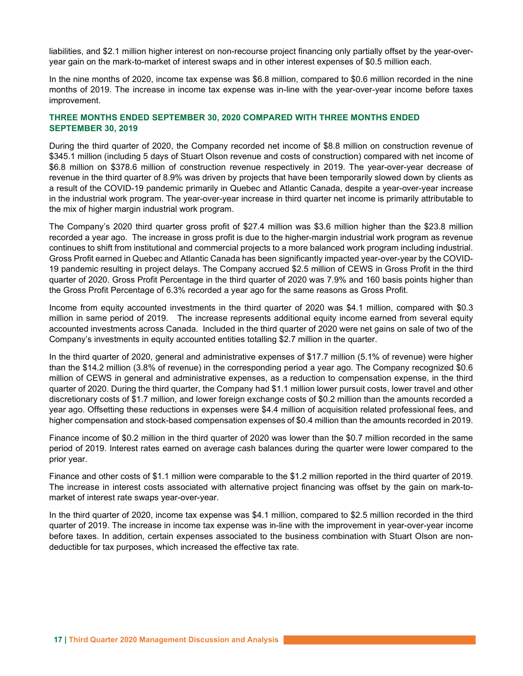liabilities, and \$2.1 million higher interest on non-recourse project financing only partially offset by the year-overyear gain on the mark-to-market of interest swaps and in other interest expenses of \$0.5 million each.

In the nine months of 2020, income tax expense was \$6.8 million, compared to \$0.6 million recorded in the nine months of 2019. The increase in income tax expense was in-line with the year-over-year income before taxes improvement.

### THREE MONTHS ENDED SEPTEMBER 30, 2020 COMPARED WITH THREE MONTHS ENDED SEPTEMBER 30, 2019

During the third quarter of 2020, the Company recorded net income of \$8.8 million on construction revenue of \$345.1 million (including 5 days of Stuart Olson revenue and costs of construction) compared with net income of \$6.8 million on \$378.6 million of construction revenue respectively in 2019. The year-over-year decrease of revenue in the third quarter of 8.9% was driven by projects that have been temporarily slowed down by clients as a result of the COVID-19 pandemic primarily in Quebec and Atlantic Canada, despite a year-over-year increase in the industrial work program. The year-over-year increase in third quarter net income is primarily attributable to the mix of higher margin industrial work program.

The Company's 2020 third quarter gross profit of \$27.4 million was \$3.6 million higher than the \$23.8 million recorded a year ago. The increase in gross profit is due to the higher-margin industrial work program as revenue continues to shift from institutional and commercial projects to a more balanced work program including industrial. Gross Profit earned in Quebec and Atlantic Canada has been significantly impacted year-over-year by the COVID-19 pandemic resulting in project delays. The Company accrued \$2.5 million of CEWS in Gross Profit in the third quarter of 2020. Gross Profit Percentage in the third quarter of 2020 was 7.9% and 160 basis points higher than the Gross Profit Percentage of 6.3% recorded a year ago for the same reasons as Gross Profit.

Income from equity accounted investments in the third quarter of 2020 was \$4.1 million, compared with \$0.3 million in same period of 2019. The increase represents additional equity income earned from several equity accounted investments across Canada. Included in the third quarter of 2020 were net gains on sale of two of the Company's investments in equity accounted entities totalling \$2.7 million in the quarter.

In the third quarter of 2020, general and administrative expenses of \$17.7 million (5.1% of revenue) were higher than the \$14.2 million (3.8% of revenue) in the corresponding period a year ago. The Company recognized \$0.6 million of CEWS in general and administrative expenses, as a reduction to compensation expense, in the third quarter of 2020. During the third quarter, the Company had \$1.1 million lower pursuit costs, lower travel and other discretionary costs of \$1.7 million, and lower foreign exchange costs of \$0.2 million than the amounts recorded a year ago. Offsetting these reductions in expenses were \$4.4 million of acquisition related professional fees, and higher compensation and stock-based compensation expenses of \$0.4 million than the amounts recorded in 2019.

Finance income of \$0.2 million in the third quarter of 2020 was lower than the \$0.7 million recorded in the same period of 2019. Interest rates earned on average cash balances during the quarter were lower compared to the prior year.

Finance and other costs of \$1.1 million were comparable to the \$1.2 million reported in the third quarter of 2019. The increase in interest costs associated with alternative project financing was offset by the gain on mark-tomarket of interest rate swaps year-over-year.

In the third quarter of 2020, income tax expense was \$4.1 million, compared to \$2.5 million recorded in the third quarter of 2019. The increase in income tax expense was in-line with the improvement in year-over-year income before taxes. In addition, certain expenses associated to the business combination with Stuart Olson are nondeductible for tax purposes, which increased the effective tax rate.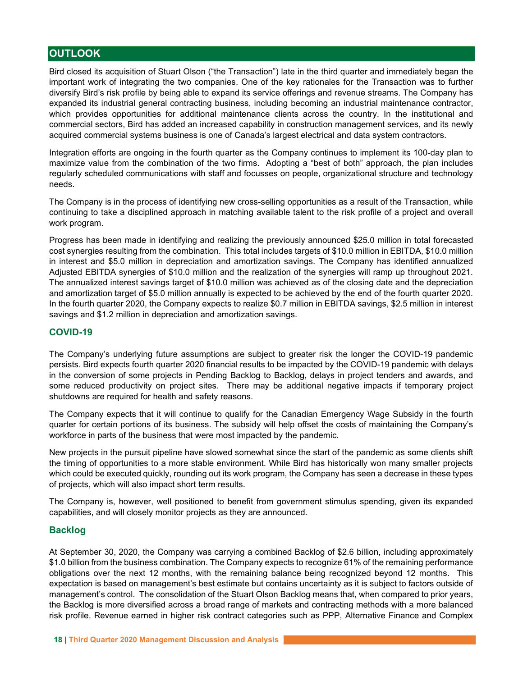# **OUTLOOK**

Bird closed its acquisition of Stuart Olson ("the Transaction") late in the third quarter and immediately began the important work of integrating the two companies. One of the key rationales for the Transaction was to further diversify Bird's risk profile by being able to expand its service offerings and revenue streams. The Company has expanded its industrial general contracting business, including becoming an industrial maintenance contractor, which provides opportunities for additional maintenance clients across the country. In the institutional and commercial sectors, Bird has added an increased capability in construction management services, and its newly acquired commercial systems business is one of Canada's largest electrical and data system contractors.

Integration efforts are ongoing in the fourth quarter as the Company continues to implement its 100-day plan to maximize value from the combination of the two firms. Adopting a "best of both" approach, the plan includes regularly scheduled communications with staff and focusses on people, organizational structure and technology needs.

The Company is in the process of identifying new cross-selling opportunities as a result of the Transaction, while continuing to take a disciplined approach in matching available talent to the risk profile of a project and overall work program.

Progress has been made in identifying and realizing the previously announced \$25.0 million in total forecasted cost synergies resulting from the combination. This total includes targets of \$10.0 million in EBITDA, \$10.0 million in interest and \$5.0 million in depreciation and amortization savings. The Company has identified annualized Adjusted EBITDA synergies of \$10.0 million and the realization of the synergies will ramp up throughout 2021. The annualized interest savings target of \$10.0 million was achieved as of the closing date and the depreciation and amortization target of \$5.0 million annually is expected to be achieved by the end of the fourth quarter 2020. In the fourth quarter 2020, the Company expects to realize \$0.7 million in EBITDA savings, \$2.5 million in interest savings and \$1.2 million in depreciation and amortization savings.

### COVID-19

The Company's underlying future assumptions are subject to greater risk the longer the COVID-19 pandemic persists. Bird expects fourth quarter 2020 financial results to be impacted by the COVID-19 pandemic with delays in the conversion of some projects in Pending Backlog to Backlog, delays in project tenders and awards, and some reduced productivity on project sites. There may be additional negative impacts if temporary project shutdowns are required for health and safety reasons.

The Company expects that it will continue to qualify for the Canadian Emergency Wage Subsidy in the fourth quarter for certain portions of its business. The subsidy will help offset the costs of maintaining the Company's workforce in parts of the business that were most impacted by the pandemic.

New projects in the pursuit pipeline have slowed somewhat since the start of the pandemic as some clients shift the timing of opportunities to a more stable environment. While Bird has historically won many smaller projects which could be executed quickly, rounding out its work program, the Company has seen a decrease in these types of projects, which will also impact short term results.

The Company is, however, well positioned to benefit from government stimulus spending, given its expanded capabilities, and will closely monitor projects as they are announced.

# Backlog

At September 30, 2020, the Company was carrying a combined Backlog of \$2.6 billion, including approximately \$1.0 billion from the business combination. The Company expects to recognize 61% of the remaining performance obligations over the next 12 months, with the remaining balance being recognized beyond 12 months. This expectation is based on management's best estimate but contains uncertainty as it is subject to factors outside of management's control. The consolidation of the Stuart Olson Backlog means that, when compared to prior years, the Backlog is more diversified across a broad range of markets and contracting methods with a more balanced risk profile. Revenue earned in higher risk contract categories such as PPP, Alternative Finance and Complex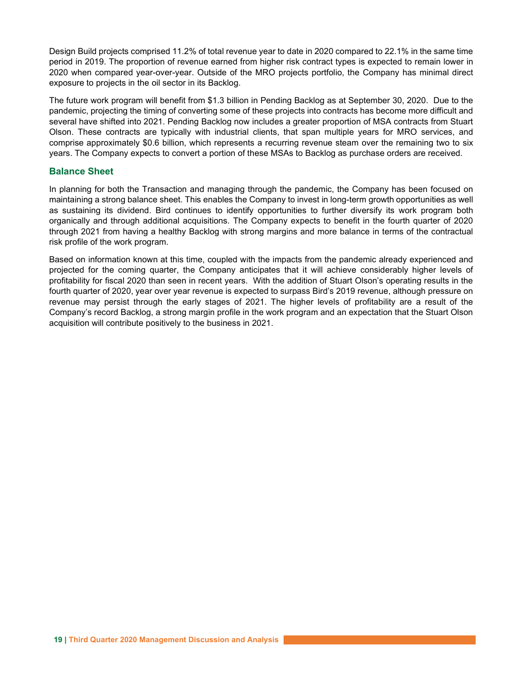Design Build projects comprised 11.2% of total revenue year to date in 2020 compared to 22.1% in the same time period in 2019. The proportion of revenue earned from higher risk contract types is expected to remain lower in 2020 when compared year-over-year. Outside of the MRO projects portfolio, the Company has minimal direct exposure to projects in the oil sector in its Backlog.

The future work program will benefit from \$1.3 billion in Pending Backlog as at September 30, 2020. Due to the pandemic, projecting the timing of converting some of these projects into contracts has become more difficult and several have shifted into 2021. Pending Backlog now includes a greater proportion of MSA contracts from Stuart Olson. These contracts are typically with industrial clients, that span multiple years for MRO services, and comprise approximately \$0.6 billion, which represents a recurring revenue steam over the remaining two to six years. The Company expects to convert a portion of these MSAs to Backlog as purchase orders are received.

## Balance Sheet

In planning for both the Transaction and managing through the pandemic, the Company has been focused on maintaining a strong balance sheet. This enables the Company to invest in long-term growth opportunities as well as sustaining its dividend. Bird continues to identify opportunities to further diversify its work program both organically and through additional acquisitions. The Company expects to benefit in the fourth quarter of 2020 through 2021 from having a healthy Backlog with strong margins and more balance in terms of the contractual risk profile of the work program.

Based on information known at this time, coupled with the impacts from the pandemic already experienced and projected for the coming quarter, the Company anticipates that it will achieve considerably higher levels of profitability for fiscal 2020 than seen in recent years. With the addition of Stuart Olson's operating results in the fourth quarter of 2020, year over year revenue is expected to surpass Bird's 2019 revenue, although pressure on revenue may persist through the early stages of 2021. The higher levels of profitability are a result of the Company's record Backlog, a strong margin profile in the work program and an expectation that the Stuart Olson acquisition will contribute positively to the business in 2021.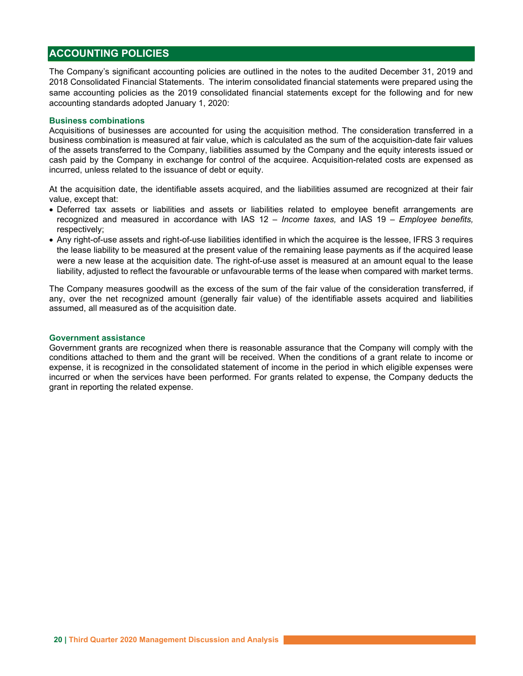# ACCOUNTING POLICIES

The Company's significant accounting policies are outlined in the notes to the audited December 31, 2019 and 2018 Consolidated Financial Statements. The interim consolidated financial statements were prepared using the same accounting policies as the 2019 consolidated financial statements except for the following and for new accounting standards adopted January 1, 2020:

#### Business combinations

Acquisitions of businesses are accounted for using the acquisition method. The consideration transferred in a business combination is measured at fair value, which is calculated as the sum of the acquisition-date fair values of the assets transferred to the Company, liabilities assumed by the Company and the equity interests issued or cash paid by the Company in exchange for control of the acquiree. Acquisition-related costs are expensed as incurred, unless related to the issuance of debt or equity.

At the acquisition date, the identifiable assets acquired, and the liabilities assumed are recognized at their fair value, except that:

- Deferred tax assets or liabilities and assets or liabilities related to employee benefit arrangements are recognized and measured in accordance with IAS 12 - Income taxes, and IAS 19 - Employee benefits, respectively;
- Any right-of-use assets and right-of-use liabilities identified in which the acquiree is the lessee, IFRS 3 requires the lease liability to be measured at the present value of the remaining lease payments as if the acquired lease were a new lease at the acquisition date. The right-of-use asset is measured at an amount equal to the lease liability, adjusted to reflect the favourable or unfavourable terms of the lease when compared with market terms.

The Company measures goodwill as the excess of the sum of the fair value of the consideration transferred, if any, over the net recognized amount (generally fair value) of the identifiable assets acquired and liabilities assumed, all measured as of the acquisition date.

#### Government assistance

Government grants are recognized when there is reasonable assurance that the Company will comply with the conditions attached to them and the grant will be received. When the conditions of a grant relate to income or expense, it is recognized in the consolidated statement of income in the period in which eligible expenses were incurred or when the services have been performed. For grants related to expense, the Company deducts the grant in reporting the related expense.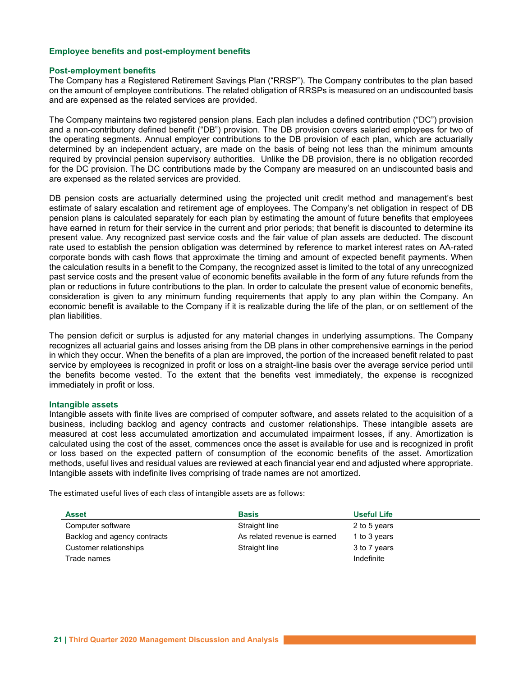#### Employee benefits and post-employment benefits

#### Post-employment benefits

The Company has a Registered Retirement Savings Plan ("RRSP"). The Company contributes to the plan based on the amount of employee contributions. The related obligation of RRSPs is measured on an undiscounted basis and are expensed as the related services are provided.

The Company maintains two registered pension plans. Each plan includes a defined contribution ("DC") provision and a non-contributory defined benefit ("DB") provision. The DB provision covers salaried employees for two of the operating segments. Annual employer contributions to the DB provision of each plan, which are actuarially determined by an independent actuary, are made on the basis of being not less than the minimum amounts required by provincial pension supervisory authorities. Unlike the DB provision, there is no obligation recorded for the DC provision. The DC contributions made by the Company are measured on an undiscounted basis and are expensed as the related services are provided.

DB pension costs are actuarially determined using the projected unit credit method and management's best estimate of salary escalation and retirement age of employees. The Company's net obligation in respect of DB pension plans is calculated separately for each plan by estimating the amount of future benefits that employees have earned in return for their service in the current and prior periods; that benefit is discounted to determine its present value. Any recognized past service costs and the fair value of plan assets are deducted. The discount rate used to establish the pension obligation was determined by reference to market interest rates on AA-rated corporate bonds with cash flows that approximate the timing and amount of expected benefit payments. When the calculation results in a benefit to the Company, the recognized asset is limited to the total of any unrecognized past service costs and the present value of economic benefits available in the form of any future refunds from the plan or reductions in future contributions to the plan. In order to calculate the present value of economic benefits, consideration is given to any minimum funding requirements that apply to any plan within the Company. An economic benefit is available to the Company if it is realizable during the life of the plan, or on settlement of the plan liabilities.

The pension deficit or surplus is adjusted for any material changes in underlying assumptions. The Company recognizes all actuarial gains and losses arising from the DB plans in other comprehensive earnings in the period in which they occur. When the benefits of a plan are improved, the portion of the increased benefit related to past service by employees is recognized in profit or loss on a straight-line basis over the average service period until the benefits become vested. To the extent that the benefits vest immediately, the expense is recognized immediately in profit or loss.

#### Intangible assets

Intangible assets with finite lives are comprised of computer software, and assets related to the acquisition of a business, including backlog and agency contracts and customer relationships. These intangible assets are measured at cost less accumulated amortization and accumulated impairment losses, if any. Amortization is calculated using the cost of the asset, commences once the asset is available for use and is recognized in profit or loss based on the expected pattern of consumption of the economic benefits of the asset. Amortization methods, useful lives and residual values are reviewed at each financial year end and adjusted where appropriate. Intangible assets with indefinite lives comprising of trade names are not amortized.

The estimated useful lives of each class of intangible assets are as follows:

| <b>Asset</b>                 | <b>Basis</b>                 | Useful Life  |
|------------------------------|------------------------------|--------------|
| Computer software            | Straight line                | 2 to 5 years |
| Backlog and agency contracts | As related revenue is earned | 1 to 3 years |
| Customer relationships       | Straight line                | 3 to 7 years |
| Trade names                  |                              | Indefinite   |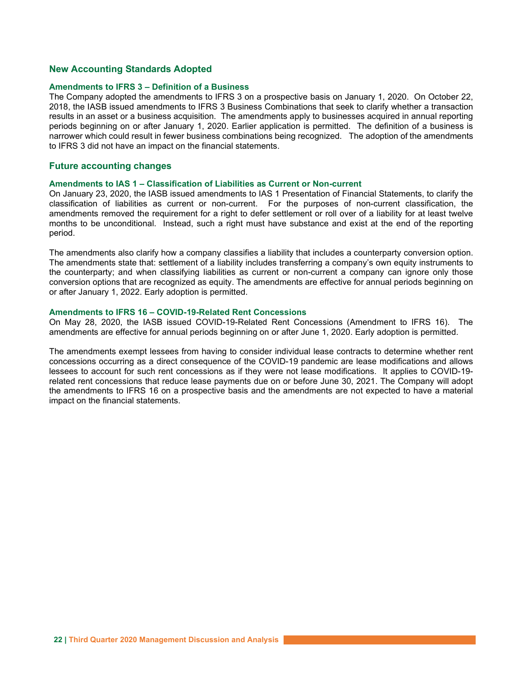#### New Accounting Standards Adopted

#### Amendments to IFRS 3 – Definition of a Business

The Company adopted the amendments to IFRS 3 on a prospective basis on January 1, 2020. On October 22, 2018, the IASB issued amendments to IFRS 3 Business Combinations that seek to clarify whether a transaction results in an asset or a business acquisition. The amendments apply to businesses acquired in annual reporting periods beginning on or after January 1, 2020. Earlier application is permitted. The definition of a business is narrower which could result in fewer business combinations being recognized. The adoption of the amendments to IFRS 3 did not have an impact on the financial statements.

#### Future accounting changes

#### Amendments to IAS 1 – Classification of Liabilities as Current or Non-current

On January 23, 2020, the IASB issued amendments to IAS 1 Presentation of Financial Statements, to clarify the classification of liabilities as current or non-current. For the purposes of non-current classification, the amendments removed the requirement for a right to defer settlement or roll over of a liability for at least twelve months to be unconditional. Instead, such a right must have substance and exist at the end of the reporting period.

The amendments also clarify how a company classifies a liability that includes a counterparty conversion option. The amendments state that: settlement of a liability includes transferring a company's own equity instruments to the counterparty; and when classifying liabilities as current or non-current a company can ignore only those conversion options that are recognized as equity. The amendments are effective for annual periods beginning on or after January 1, 2022. Early adoption is permitted.

#### Amendments to IFRS 16 – COVID-19-Related Rent Concessions

On May 28, 2020, the IASB issued COVID-19-Related Rent Concessions (Amendment to IFRS 16). The amendments are effective for annual periods beginning on or after June 1, 2020. Early adoption is permitted.

The amendments exempt lessees from having to consider individual lease contracts to determine whether rent concessions occurring as a direct consequence of the COVID-19 pandemic are lease modifications and allows lessees to account for such rent concessions as if they were not lease modifications. It applies to COVID-19 related rent concessions that reduce lease payments due on or before June 30, 2021. The Company will adopt the amendments to IFRS 16 on a prospective basis and the amendments are not expected to have a material impact on the financial statements.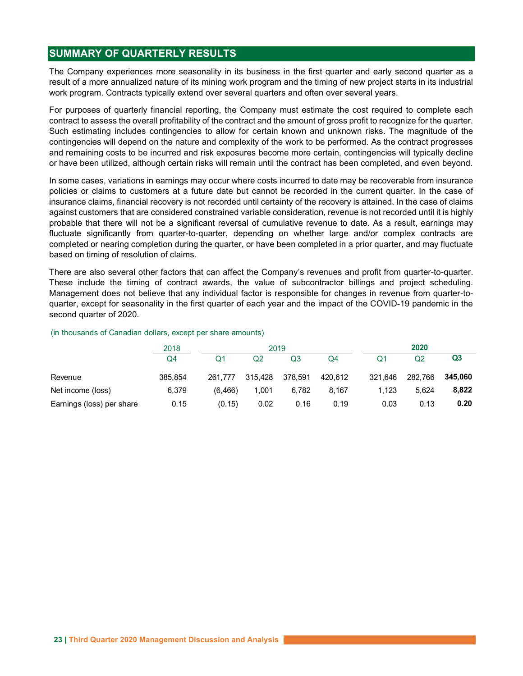# SUMMARY OF QUARTERLY RESULTS

The Company experiences more seasonality in its business in the first quarter and early second quarter as a result of a more annualized nature of its mining work program and the timing of new project starts in its industrial work program. Contracts typically extend over several quarters and often over several years.

For purposes of quarterly financial reporting, the Company must estimate the cost required to complete each contract to assess the overall profitability of the contract and the amount of gross profit to recognize for the quarter. Such estimating includes contingencies to allow for certain known and unknown risks. The magnitude of the contingencies will depend on the nature and complexity of the work to be performed. As the contract progresses and remaining costs to be incurred and risk exposures become more certain, contingencies will typically decline or have been utilized, although certain risks will remain until the contract has been completed, and even beyond.

In some cases, variations in earnings may occur where costs incurred to date may be recoverable from insurance policies or claims to customers at a future date but cannot be recorded in the current quarter. In the case of insurance claims, financial recovery is not recorded until certainty of the recovery is attained. In the case of claims against customers that are considered constrained variable consideration, revenue is not recorded until it is highly probable that there will not be a significant reversal of cumulative revenue to date. As a result, earnings may fluctuate significantly from quarter-to-quarter, depending on whether large and/or complex contracts are completed or nearing completion during the quarter, or have been completed in a prior quarter, and may fluctuate based on timing of resolution of claims. is entare and complexity of the work to be performed. As the contract progresses<br>
rered and risk exposures become more certain, contingencies will typically deciline<br>
certain risks will remain until the contract has been and the matter state of a control of a control of a control of a control of a control of a completed, and even beyond.<br>
The belower this to customers at a future date but cannot be recorded in the control of control of cha In some cases, variations in earnings may occur where costs incurred to date may be recoverable from insurance<br>oloicies or claims to customers at a future date but cannot be recorded in the current quartit. In the case of in some usases, valiations in earnings may occur wine coassisted in the current quarter. In the case of solicies or claims to customers at a future date but cannot be recorded in the current quarter. In the case of share

There are also several other factors that can affect the Company's revenues and profit from quarter-to-quarter. These include the timing of contract awards, the value of subcontractor billings and project scheduling. Management does not believe that any individual factor is responsible for changes in revenue from quarter-toquarter, except for seasonality in the first quarter of each year and the impact of the COVID-19 pandemic in the second quarter of 2020.

#### (in thousands of Canadian dollars, except per share amounts)

|                           | 2018    |          |         | 2019    |         |         | 2020    |                |
|---------------------------|---------|----------|---------|---------|---------|---------|---------|----------------|
|                           | Q4      | Q1       | Q2      | Q3      | Q4      |         | Q2      | Q <sub>3</sub> |
| Revenue                   | 385.854 | 261,777  | 315,428 | 378,591 | 420,612 | 321,646 | 282,766 | 345,060        |
| Net income (loss)         | 6,379   | (6, 466) | 1,001   | 6,782   | 8,167   | 1,123   | 5.624   | 8,822          |
| Earnings (loss) per share | 0.15    | (0.15)   | 0.02    | 0.16    | 0.19    | 0.03    | 0.13    | 0.20           |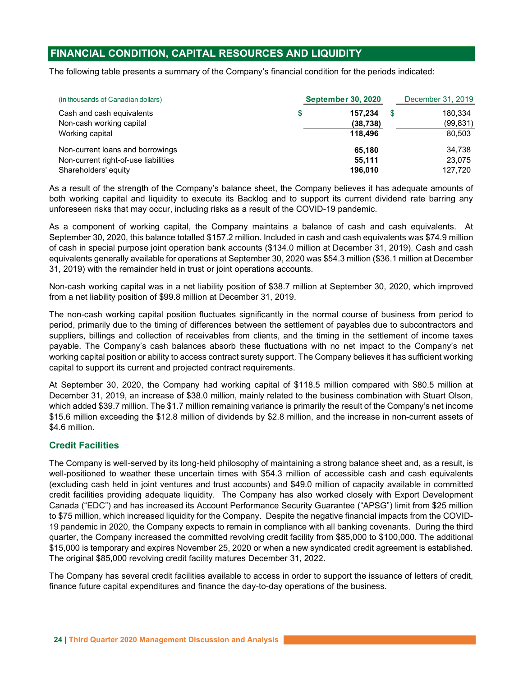# FINANCIAL CONDITION, CAPITAL RESOURCES AND LIQUIDITY

The following table presents a summary of the Company's financial condition for the periods indicated:

| (in thousands of Canadian dollars)                                                               | <b>September 30, 2020</b>       | December 31, 2019 |                                |  |
|--------------------------------------------------------------------------------------------------|---------------------------------|-------------------|--------------------------------|--|
| Cash and cash equivalents<br>Non-cash working capital<br>Working capital                         | 157.234<br>(38, 738)<br>118.496 |                   | 180.334<br>(99, 831)<br>80,503 |  |
| Non-current loans and borrowings<br>Non-current right-of-use liabilities<br>Shareholders' equity | 65.180<br>55.111<br>196,010     |                   | 34.738<br>23,075<br>127.720    |  |

As a result of the strength of the Company's balance sheet, the Company believes it has adequate amounts of both working capital and liquidity to execute its Backlog and to support its current dividend rate barring any unforeseen risks that may occur, including risks as a result of the COVID-19 pandemic.

As a component of working capital, the Company maintains a balance of cash and cash equivalents. At September 30, 2020, this balance totalled \$157.2 million. Included in cash and cash equivalents was \$74.9 million of cash in special purpose joint operation bank accounts (\$134.0 million at December 31, 2019). Cash and cash equivalents generally available for operations at September 30, 2020 was \$54.3 million (\$36.1 million at December 31, 2019) with the remainder held in trust or joint operations accounts.

Non-cash working capital was in a net liability position of \$38.7 million at September 30, 2020, which improved from a net liability position of \$99.8 million at December 31, 2019.

The non-cash working capital position fluctuates significantly in the normal course of business from period to period, primarily due to the timing of differences between the settlement of payables due to subcontractors and suppliers, billings and collection of receivables from clients, and the timing in the settlement of income taxes payable. The Company's cash balances absorb these fluctuations with no net impact to the Company's net working capital position or ability to access contract surety support. The Company believes it has sufficient working capital to support its current and projected contract requirements.

At September 30, 2020, the Company had working capital of \$118.5 million compared with \$80.5 million at December 31, 2019, an increase of \$38.0 million, mainly related to the business combination with Stuart Olson, which added \$39.7 million. The \$1.7 million remaining variance is primarily the result of the Company's net income \$15.6 million exceeding the \$12.8 million of dividends by \$2.8 million, and the increase in non-current assets of \$4.6 million.

# Credit Facilities

The Company is well-served by its long-held philosophy of maintaining a strong balance sheet and, as a result, is well-positioned to weather these uncertain times with \$54.3 million of accessible cash and cash equivalents (excluding cash held in joint ventures and trust accounts) and \$49.0 million of capacity available in committed credit facilities providing adequate liquidity. The Company has also worked closely with Export Development Canada ("EDC") and has increased its Account Performance Security Guarantee ("APSG") limit from \$25 million to \$75 million, which increased liquidity for the Company. Despite the negative financial impacts from the COVID-19 pandemic in 2020, the Company expects to remain in compliance with all banking covenants. During the third quarter, the Company increased the committed revolving credit facility from \$85,000 to \$100,000. The additional \$15,000 is temporary and expires November 25, 2020 or when a new syndicated credit agreement is established. The original \$85,000 revolving credit facility matures December 31, 2022.

The Company has several credit facilities available to access in order to support the issuance of letters of credit, finance future capital expenditures and finance the day-to-day operations of the business.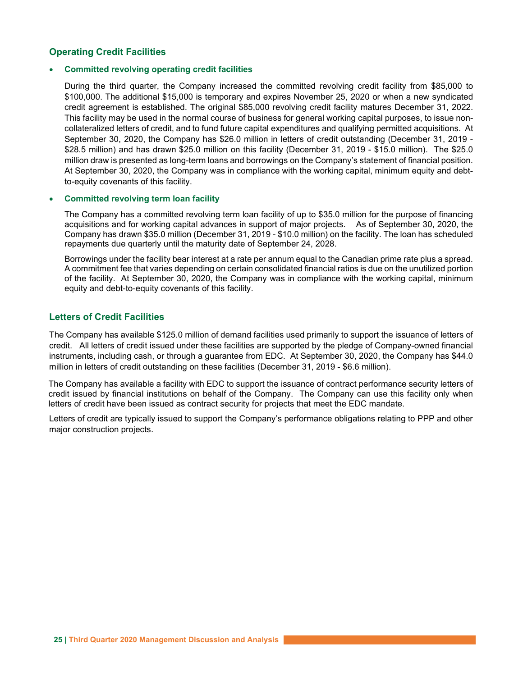# Operating Credit Facilities

#### Committed revolving operating credit facilities

During the third quarter, the Company increased the committed revolving credit facility from \$85,000 to \$100,000. The additional \$15,000 is temporary and expires November 25, 2020 or when a new syndicated credit agreement is established. The original \$85,000 revolving credit facility matures December 31, 2022. This facility may be used in the normal course of business for general working capital purposes, to issue noncollateralized letters of credit, and to fund future capital expenditures and qualifying permitted acquisitions. At September 30, 2020, the Company has \$26.0 million in letters of credit outstanding (December 31, 2019 - \$28.5 million) and has drawn \$25.0 million on this facility (December 31, 2019 - \$15.0 million). The \$25.0 million draw is presented as long-term loans and borrowings on the Company's statement of financial position. At September 30, 2020, the Company was in compliance with the working capital, minimum equity and debtto-equity covenants of this facility.

#### Committed revolving term loan facility

The Company has a committed revolving term loan facility of up to \$35.0 million for the purpose of financing acquisitions and for working capital advances in support of major projects. As of September 30, 2020, the Company has drawn \$35.0 million (December 31, 2019 - \$10.0 million) on the facility. The loan has scheduled repayments due quarterly until the maturity date of September 24, 2028.

Borrowings under the facility bear interest at a rate per annum equal to the Canadian prime rate plus a spread. A commitment fee that varies depending on certain consolidated financial ratios is due on the unutilized portion of the facility. At September 30, 2020, the Company was in compliance with the working capital, minimum equity and debt-to-equity covenants of this facility.

### Letters of Credit Facilities

The Company has available \$125.0 million of demand facilities used primarily to support the issuance of letters of credit. All letters of credit issued under these facilities are supported by the pledge of Company-owned financial instruments, including cash, or through a guarantee from EDC. At September 30, 2020, the Company has \$44.0 million in letters of credit outstanding on these facilities (December 31, 2019 - \$6.6 million).

The Company has available a facility with EDC to support the issuance of contract performance security letters of credit issued by financial institutions on behalf of the Company. The Company can use this facility only when letters of credit have been issued as contract security for projects that meet the EDC mandate.

Letters of credit are typically issued to support the Company's performance obligations relating to PPP and other major construction projects.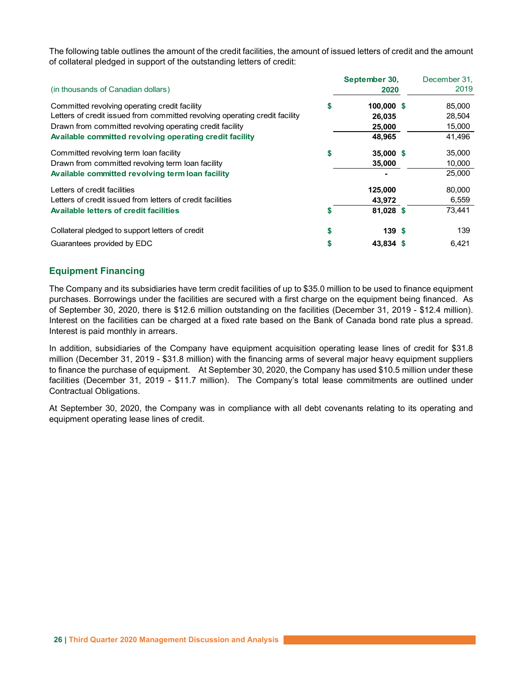|                                                                             |    |                       | The following table outlines the amount of the credit facilities, the amount of issued letters of credit and the amount |
|-----------------------------------------------------------------------------|----|-----------------------|-------------------------------------------------------------------------------------------------------------------------|
| (in thousands of Canadian dollars)                                          |    | September 30,<br>2020 | December 31.<br>2019                                                                                                    |
| Committed revolving operating credit facility                               | S  | 100,000 \$            | 85,000                                                                                                                  |
| Letters of credit issued from committed revolving operating credit facility |    | 26,035                | 28,504                                                                                                                  |
| Drawn from committed revolving operating credit facility                    |    | 25,000                | 15,000                                                                                                                  |
| Available committed revolving operating credit facility                     |    | 48,965                | 41,496                                                                                                                  |
| Committed revolving term loan facility                                      | \$ | 35,000 \$             | 35,000                                                                                                                  |
| Drawn from committed revolving term loan facility                           |    | 35,000                | 10,000                                                                                                                  |
| Available committed revolving term loan facility                            |    |                       | 25,000                                                                                                                  |
| Letters of credit facilities                                                |    | 125,000               | 80,000                                                                                                                  |
| Letters of credit issued from letters of credit facilities                  |    | 43,972                | 6,559                                                                                                                   |
| Available letters of credit facilities                                      | S  | 81,028 \$             | 73,441                                                                                                                  |
| Collateral pledged to support letters of credit                             | \$ | 139S                  | 139                                                                                                                     |
| Guarantees provided by EDC                                                  | \$ | 43,834 \$             | 6,421                                                                                                                   |

# Equipment Financing

The Company and its subsidiaries have term credit facilities of up to \$35.0 million to be used to finance equipment purchases. Borrowings under the facilities are secured with a first charge on the equipment being financed. As of September 30, 2020, there is \$12.6 million outstanding on the facilities (December 31, 2019 - \$12.4 million). Interest on the facilities can be charged at a fixed rate based on the Bank of Canada bond rate plus a spread. Interest is paid monthly in arrears.

In addition, subsidiaries of the Company have equipment acquisition operating lease lines of credit for \$31.8 million (December 31, 2019 - \$31.8 million) with the financing arms of several major heavy equipment suppliers to finance the purchase of equipment. At September 30, 2020, the Company has used \$10.5 million under these facilities (December 31, 2019 - \$11.7 million). The Company's total lease commitments are outlined under Contractual Obligations.

At September 30, 2020, the Company was in compliance with all debt covenants relating to its operating and equipment operating lease lines of credit.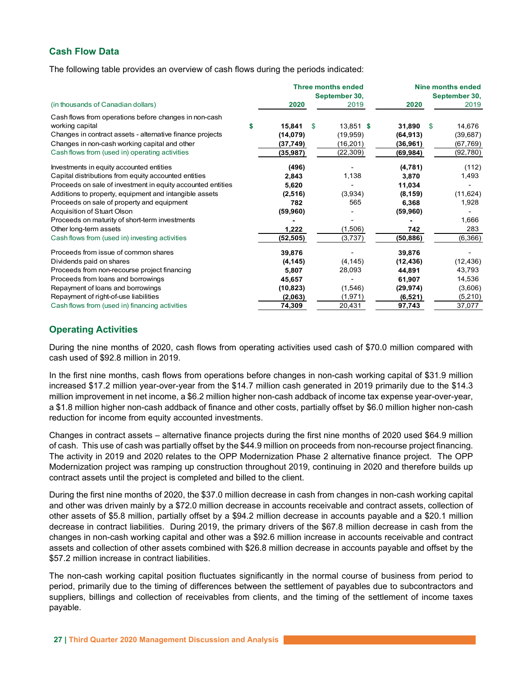# Cash Flow Data

The following table provides an overview of cash flows during the periods indicated:

| (in thousands of Canadian dollars)                          |  | <b>Three months ended</b><br>September 30, |      | Nine months ended<br>September 30, |           |  |           |
|-------------------------------------------------------------|--|--------------------------------------------|------|------------------------------------|-----------|--|-----------|
|                                                             |  | 2020                                       | 2019 |                                    | 2020      |  | 2019      |
| Cash flows from operations before changes in non-cash       |  |                                            |      |                                    |           |  |           |
| working capital                                             |  | 15,841                                     | - \$ | $13,851$ \$                        | 31,890 \$ |  | 14,676    |
| Changes in contract assets - alternative finance projects   |  | (14, 079)                                  |      | (19, 959)                          | (64, 913) |  | (39, 687) |
| Changes in non-cash working capital and other               |  | (37, 749)                                  |      | (16, 201)                          | (36, 961) |  | (67, 769) |
| Cash flows from (used in) operating activities              |  | (35,987)                                   |      | (22, 309)                          | (69, 984) |  | (92, 780) |
| Investments in equity accounted entities                    |  | (496)                                      |      |                                    | (4,781)   |  | (112)     |
| Capital distributions from equity accounted entities        |  | 2,843                                      |      | 1,138                              | 3,870     |  | 1,493     |
| Proceeds on sale of investment in equity accounted entities |  | 5,620                                      |      |                                    | 11,034    |  |           |
| Additions to property, equipment and intangible assets      |  | (2,516)                                    |      | (3,934)                            | (8, 159)  |  | (11, 624) |
| Proceeds on sale of property and equipment                  |  | 782                                        |      | 565                                | 6,368     |  | 1,928     |
| Acquisition of Stuart Olson                                 |  | (59, 960)                                  |      |                                    | (59, 960) |  |           |
| Proceeds on maturity of short-term investments              |  |                                            |      |                                    |           |  | 1,666     |
| Other long-term assets                                      |  | 1,222                                      |      | (1,506)                            | 742       |  | 283       |
| Cash flows from (used in) investing activities              |  | (52,505)                                   |      | (3,737)                            | (50, 886) |  | (6,366)   |
| Proceeds from issue of common shares                        |  | 39,876                                     |      |                                    | 39,876    |  |           |
| Dividends paid on shares                                    |  | (4, 145)                                   |      | (4, 145)                           | (12, 436) |  | (12, 436) |
| Proceeds from non-recourse project financing                |  | 5,807                                      |      | 28,093                             | 44,891    |  | 43,793    |
| Proceeds from loans and borrowings                          |  | 45,657                                     |      |                                    | 61,907    |  | 14,536    |
| Repayment of loans and borrowings                           |  | (10, 823)                                  |      | (1,546)                            | (29, 974) |  | (3,606)   |
| Repayment of right-of-use liabilities                       |  | (2,063)                                    |      | (1, 971)                           | (6, 521)  |  | (5,210)   |
| Cash flows from (used in) financing activities              |  | 74,309                                     |      | 20,431                             | 97,743    |  | 37,077    |

# Operating Activities

During the nine months of 2020, cash flows from operating activities used cash of \$70.0 million compared with cash used of \$92.8 million in 2019.

In the first nine months, cash flows from operations before changes in non-cash working capital of \$31.9 million increased \$17.2 million year-over-year from the \$14.7 million cash generated in 2019 primarily due to the \$14.3 million improvement in net income, a \$6.2 million higher non-cash addback of income tax expense year-over-year, a \$1.8 million higher non-cash addback of finance and other costs, partially offset by \$6.0 million higher non-cash reduction for income from equity accounted investments.

Changes in contract assets – alternative finance projects during the first nine months of 2020 used \$64.9 million of cash. This use of cash was partially offset by the \$44.9 million on proceeds from non-recourse project financing. The activity in 2019 and 2020 relates to the OPP Modernization Phase 2 alternative finance project. The OPP Modernization project was ramping up construction throughout 2019, continuing in 2020 and therefore builds up contract assets until the project is completed and billed to the client.

During the first nine months of 2020, the \$37.0 million decrease in cash from changes in non-cash working capital and other was driven mainly by a \$72.0 million decrease in accounts receivable and contract assets, collection of other assets of \$5.8 million, partially offset by a \$94.2 million decrease in accounts payable and a \$20.1 million decrease in contract liabilities. During 2019, the primary drivers of the \$67.8 million decrease in cash from the changes in non-cash working capital and other was a \$92.6 million increase in accounts receivable and contract assets and collection of other assets combined with \$26.8 million decrease in accounts payable and offset by the \$57.2 million increase in contract liabilities.

The non-cash working capital position fluctuates significantly in the normal course of business from period to period, primarily due to the timing of differences between the settlement of payables due to subcontractors and suppliers, billings and collection of receivables from clients, and the timing of the settlement of income taxes payable.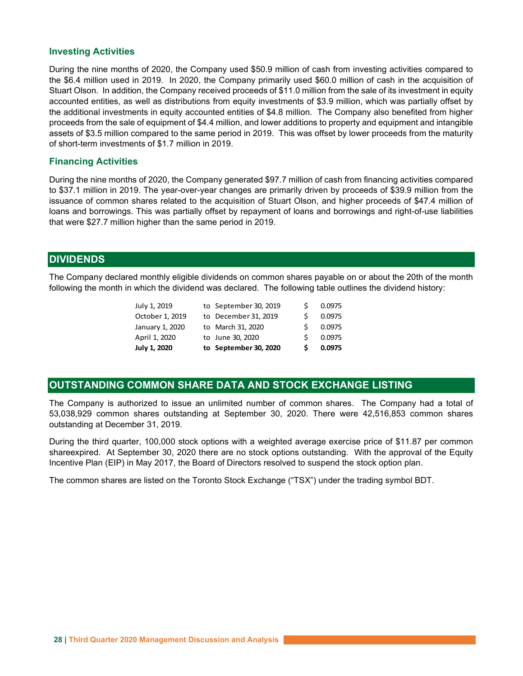### Investing Activities

During the nine months of 2020, the Company used \$50.9 million of cash from investing activities compared to the \$6.4 million used in 2019. In 2020, the Company primarily used \$60.0 million of cash in the acquisition of Stuart Olson. In addition, the Company received proceeds of \$11.0 million from the sale of its investment in equity accounted entities, as well as distributions from equity investments of \$3.9 million, which was partially offset by the additional investments in equity accounted entities of \$4.8 million. The Company also benefited from higher proceeds from the sale of equipment of \$4.4 million, and lower additions to property and equipment and intangible assets of \$3.5 million compared to the same period in 2019. This was offset by lower proceeds from the maturity of short-term investments of \$1.7 million in 2019. In, the Compary lecelarity technology of a F1.0 million, which was partially offset by<br>well as distributions from equity investments of \$3.9 million, which was partially offset by<br>or of equipment of \$4.4 million, and lowe

# Financing Activities

During the nine months of 2020, the Company generated \$97.7 million of cash from financing activities compared to \$37.1 million in 2019. The year-over-year changes are primarily driven by proceeds of \$39.9 million from the issuance of common shares related to the acquisition of Stuart Olson, and higher proceeds of \$47.4 million of loans and borrowings. This was partially offset by repayment of loans and borrowings and right-of-use liabilities that were \$27.7 million higher than the same period in 2019. we us a tenturousm for the quily movesuments of sax million. The Company also benefited from higher of sax million, and lower additions to property and equipment and intangible of equipment 6 54.4 million, and lower additi Interior in equity accounted entities to  $\approx 4.8$  million, and lower additions to property and equipment and intangible<br>of equipment of \$4.4 million, and lower additions to property and equipment and intangible<br>ompared to of equipment or set 4 million, and lower additions to property and equipment and intanguise<br>
or of 2020, the Company generated \$97.7 million of cash from financing activities compared<br>
to of 2020, the Company generated \$9 ompared to the same period in 2019. This was onset by lower proceeds from the maturity<br>this of \$1.7 million in 2019.<br>So the Company generated \$97.7 million of cash from financing activities compared<br>abans related to the a

# DIVIDENDS

The Company declared monthly eligible dividends on common shares payable on or about the 20th of the month following the month in which the dividend was declared. The following table outlines the dividend history:

| July 1, 2020    | to September 30, 2020 | s  | 0.0975 |
|-----------------|-----------------------|----|--------|
| April 1, 2020   | to June 30, 2020      | ς. | 0.0975 |
| January 1, 2020 | to March 31, 2020     | S. | 0.0975 |
| October 1, 2019 | to December 31, 2019  | ς. | 0.0975 |
| July 1, 2019    | to September 30, 2019 |    | 0.0975 |

# OUTSTANDING COMMON SHARE DATA AND STOCK EXCHANGE LISTING

The Company is authorized to issue an unlimited number of common shares. The Company had a total of 53,038,929 common shares outstanding at September 30, 2020. There were 42,516,853 common shares outstanding at December 31, 2019.

During the third quarter, 100,000 stock options with a weighted average exercise price of \$11.87 per common shareexpired. At September 30, 2020 there are no stock options outstanding. With the approval of the Equity Incentive Plan (EIP) in May 2017, the Board of Directors resolved to suspend the stock option plan.

The common shares are listed on the Toronto Stock Exchange ("TSX") under the trading symbol BDT.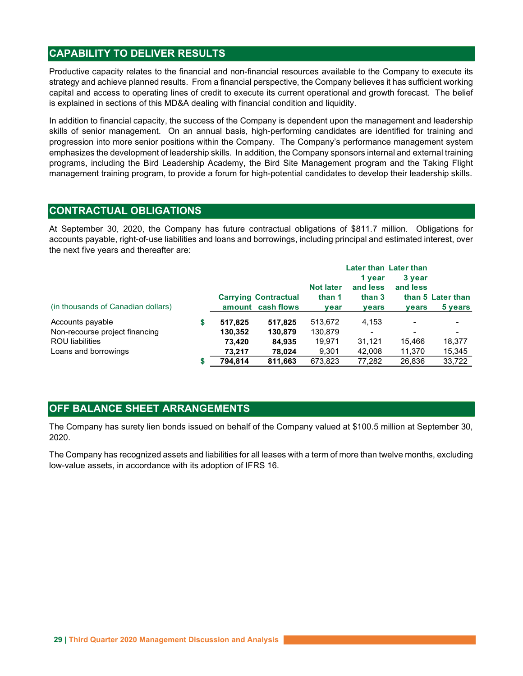# CAPABILITY TO DELIVER RESULTS

Productive capacity relates to the financial and non-financial resources available to the Company to execute its strategy and achieve planned results. From a financial perspective, the Company believes it has sufficient working capital and access to operating lines of credit to execute its current operational and growth forecast. The belief is explained in sections of this MD&A dealing with financial condition and liquidity.

In addition to financial capacity, the success of the Company is dependent upon the management and leadership skills of senior management. On an annual basis, high-performing candidates are identified for training and progression into more senior positions within the Company. The Company's performance management system emphasizes the development of leadership skills. In addition, the Company sponsors internal and external training programs, including the Bird Leadership Academy, the Bird Site Management program and the Taking Flight management training program, to provide a forum for high-potential candidates to develop their leadership skills.

# CONTRACTUAL OBLIGATIONS

At September 30, 2020, the Company has future contractual obligations of \$811.7 million. Obligations for accounts payable, right-of-use liabilities and loans and borrowings, including principal and estimated interest, over the next five years and thereafter are:

|                                    |         | <b>Later than Later than</b> |                  |                          |          |                   |  |  |  |
|------------------------------------|---------|------------------------------|------------------|--------------------------|----------|-------------------|--|--|--|
|                                    |         |                              |                  | 1 year                   | 3 year   |                   |  |  |  |
|                                    |         |                              | <b>Not later</b> | and less                 | and less |                   |  |  |  |
|                                    |         | <b>Carrying Contractual</b>  | than 1           | than 3                   |          | than 5 Later than |  |  |  |
| (in thousands of Canadian dollars) |         | amount cash flows            | year             | <b>vears</b>             | vears    | 5 years           |  |  |  |
| Accounts payable                   | 517.825 | 517,825                      | 513,672          | 4,153                    |          | $\,$              |  |  |  |
| Non-recourse project financing     | 130.352 | 130,879                      | 130.879          | $\overline{\phantom{a}}$ |          | $\,$              |  |  |  |
| <b>ROU</b> liabilities             | 73,420  | 84,935                       | 19.971           | 31,121                   | 15,466   | 18,377            |  |  |  |
| Loans and borrowings               | 73.217  | 78,024                       | 9,301            | 42.008                   | 11,370   | 15,345            |  |  |  |
|                                    | 794,814 | 811,663                      | 673,823          | 77,282                   | 26,836   | 33,722            |  |  |  |
|                                    |         |                              |                  |                          |          |                   |  |  |  |

# OFF BALANCE SHEET ARRANGEMENTS

The Company has surety lien bonds issued on behalf of the Company valued at \$100.5 million at September 30, 2020.

The Company has recognized assets and liabilities for all leases with a term of more than twelve months, excluding low-value assets, in accordance with its adoption of IFRS 16.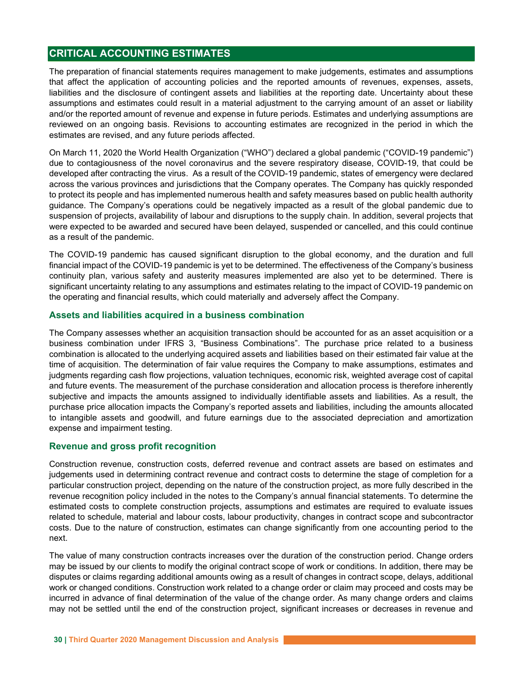# CRITICAL ACCOUNTING ESTIMATES

The preparation of financial statements requires management to make judgements, estimates and assumptions that affect the application of accounting policies and the reported amounts of revenues, expenses, assets, liabilities and the disclosure of contingent assets and liabilities at the reporting date. Uncertainty about these assumptions and estimates could result in a material adjustment to the carrying amount of an asset or liability and/or the reported amount of revenue and expense in future periods. Estimates and underlying assumptions are reviewed on an ongoing basis. Revisions to accounting estimates are recognized in the period in which the estimates are revised, and any future periods affected.

On March 11, 2020 the World Health Organization ("WHO") declared a global pandemic ("COVID-19 pandemic") due to contagiousness of the novel coronavirus and the severe respiratory disease, COVID-19, that could be developed after contracting the virus. As a result of the COVID-19 pandemic, states of emergency were declared across the various provinces and jurisdictions that the Company operates. The Company has quickly responded to protect its people and has implemented numerous health and safety measures based on public health authority guidance. The Company's operations could be negatively impacted as a result of the global pandemic due to suspension of projects, availability of labour and disruptions to the supply chain. In addition, several projects that were expected to be awarded and secured have been delayed, suspended or cancelled, and this could continue as a result of the pandemic.

The COVID-19 pandemic has caused significant disruption to the global economy, and the duration and full financial impact of the COVID-19 pandemic is yet to be determined. The effectiveness of the Company's business continuity plan, various safety and austerity measures implemented are also yet to be determined. There is significant uncertainty relating to any assumptions and estimates relating to the impact of COVID-19 pandemic on the operating and financial results, which could materially and adversely affect the Company.

### Assets and liabilities acquired in a business combination

The Company assesses whether an acquisition transaction should be accounted for as an asset acquisition or a business combination under IFRS 3, "Business Combinations". The purchase price related to a business combination is allocated to the underlying acquired assets and liabilities based on their estimated fair value at the time of acquisition. The determination of fair value requires the Company to make assumptions, estimates and judgments regarding cash flow projections, valuation techniques, economic risk, weighted average cost of capital and future events. The measurement of the purchase consideration and allocation process is therefore inherently subjective and impacts the amounts assigned to individually identifiable assets and liabilities. As a result, the purchase price allocation impacts the Company's reported assets and liabilities, including the amounts allocated to intangible assets and goodwill, and future earnings due to the associated depreciation and amortization expense and impairment testing.

#### Revenue and gross profit recognition

Construction revenue, construction costs, deferred revenue and contract assets are based on estimates and judgements used in determining contract revenue and contract costs to determine the stage of completion for a particular construction project, depending on the nature of the construction project, as more fully described in the revenue recognition policy included in the notes to the Company's annual financial statements. To determine the estimated costs to complete construction projects, assumptions and estimates are required to evaluate issues related to schedule, material and labour costs, labour productivity, changes in contract scope and subcontractor costs. Due to the nature of construction, estimates can change significantly from one accounting period to the next.

The value of many construction contracts increases over the duration of the construction period. Change orders may be issued by our clients to modify the original contract scope of work or conditions. In addition, there may be disputes or claims regarding additional amounts owing as a result of changes in contract scope, delays, additional work or changed conditions. Construction work related to a change order or claim may proceed and costs may be incurred in advance of final determination of the value of the change order. As many change orders and claims may not be settled until the end of the construction project, significant increases or decreases in revenue and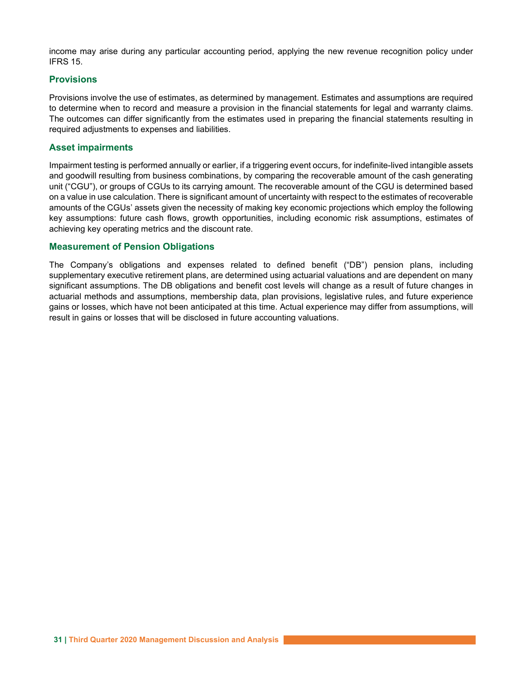income may arise during any particular accounting period, applying the new revenue recognition policy under IFRS 15.

# **Provisions**

Provisions involve the use of estimates, as determined by management. Estimates and assumptions are required to determine when to record and measure a provision in the financial statements for legal and warranty claims. The outcomes can differ significantly from the estimates used in preparing the financial statements resulting in required adjustments to expenses and liabilities.

### Asset impairments

Impairment testing is performed annually or earlier, if a triggering event occurs, for indefinite-lived intangible assets and goodwill resulting from business combinations, by comparing the recoverable amount of the cash generating unit ("CGU"), or groups of CGUs to its carrying amount. The recoverable amount of the CGU is determined based on a value in use calculation. There is significant amount of uncertainty with respect to the estimates of recoverable amounts of the CGUs' assets given the necessity of making key economic projections which employ the following key assumptions: future cash flows, growth opportunities, including economic risk assumptions, estimates of achieving key operating metrics and the discount rate.

# Measurement of Pension Obligations

The Company's obligations and expenses related to defined benefit ("DB") pension plans, including supplementary executive retirement plans, are determined using actuarial valuations and are dependent on many significant assumptions. The DB obligations and benefit cost levels will change as a result of future changes in actuarial methods and assumptions, membership data, plan provisions, legislative rules, and future experience gains or losses, which have not been anticipated at this time. Actual experience may differ from assumptions, will result in gains or losses that will be disclosed in future accounting valuations.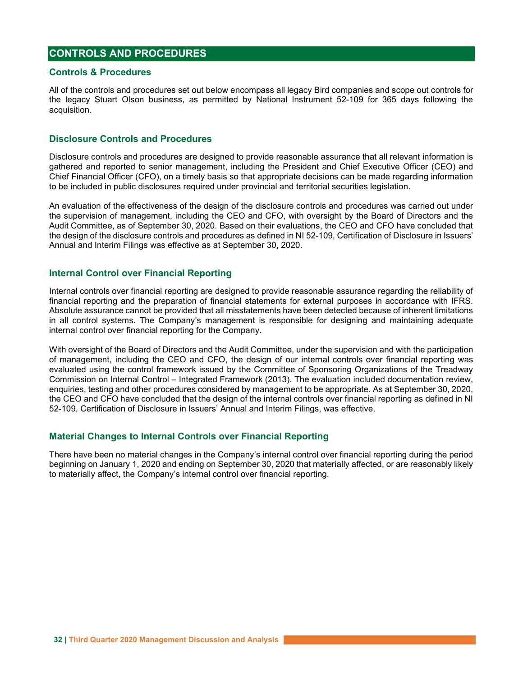# CONTROLS AND PROCEDURES

#### Controls & Procedures

All of the controls and procedures set out below encompass all legacy Bird companies and scope out controls for the legacy Stuart Olson business, as permitted by National Instrument 52-109 for 365 days following the acquisition.

### Disclosure Controls and Procedures

Disclosure controls and procedures are designed to provide reasonable assurance that all relevant information is gathered and reported to senior management, including the President and Chief Executive Officer (CEO) and Chief Financial Officer (CFO), on a timely basis so that appropriate decisions can be made regarding information to be included in public disclosures required under provincial and territorial securities legislation.

An evaluation of the effectiveness of the design of the disclosure controls and procedures was carried out under the supervision of management, including the CEO and CFO, with oversight by the Board of Directors and the Audit Committee, as of September 30, 2020. Based on their evaluations, the CEO and CFO have concluded that the design of the disclosure controls and procedures as defined in NI 52-109, Certification of Disclosure in Issuers' Annual and Interim Filings was effective as at September 30, 2020.

### Internal Control over Financial Reporting

Internal controls over financial reporting are designed to provide reasonable assurance regarding the reliability of financial reporting and the preparation of financial statements for external purposes in accordance with IFRS. Absolute assurance cannot be provided that all misstatements have been detected because of inherent limitations in all control systems. The Company's management is responsible for designing and maintaining adequate internal control over financial reporting for the Company.

With oversight of the Board of Directors and the Audit Committee, under the supervision and with the participation of management, including the CEO and CFO, the design of our internal controls over financial reporting was evaluated using the control framework issued by the Committee of Sponsoring Organizations of the Treadway Commission on Internal Control – Integrated Framework (2013). The evaluation included documentation review, enquiries, testing and other procedures considered by management to be appropriate. As at September 30, 2020, the CEO and CFO have concluded that the design of the internal controls over financial reporting as defined in NI 52-109, Certification of Disclosure in Issuers' Annual and Interim Filings, was effective.

# Material Changes to Internal Controls over Financial Reporting

There have been no material changes in the Company's internal control over financial reporting during the period beginning on January 1, 2020 and ending on September 30, 2020 that materially affected, or are reasonably likely to materially affect, the Company's internal control over financial reporting.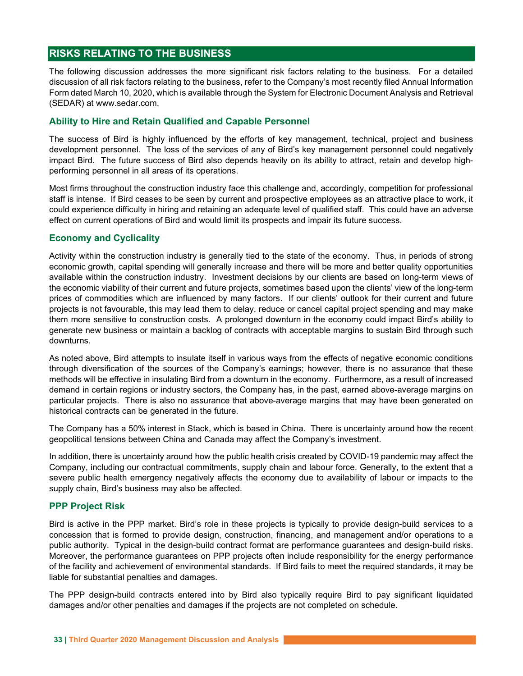# RISKS RELATING TO THE BUSINESS

The following discussion addresses the more significant risk factors relating to the business. For a detailed discussion of all risk factors relating to the business, refer to the Company's most recently filed Annual Information Form dated March 10, 2020, which is available through the System for Electronic Document Analysis and Retrieval (SEDAR) at www.sedar.com.

# Ability to Hire and Retain Qualified and Capable Personnel

The success of Bird is highly influenced by the efforts of key management, technical, project and business development personnel. The loss of the services of any of Bird's key management personnel could negatively impact Bird. The future success of Bird also depends heavily on its ability to attract, retain and develop highperforming personnel in all areas of its operations.

Most firms throughout the construction industry face this challenge and, accordingly, competition for professional staff is intense. If Bird ceases to be seen by current and prospective employees as an attractive place to work, it could experience difficulty in hiring and retaining an adequate level of qualified staff. This could have an adverse effect on current operations of Bird and would limit its prospects and impair its future success.

# Economy and Cyclicality

Activity within the construction industry is generally tied to the state of the economy. Thus, in periods of strong economic growth, capital spending will generally increase and there will be more and better quality opportunities available within the construction industry. Investment decisions by our clients are based on long-term views of the economic viability of their current and future projects, sometimes based upon the clients' view of the long-term prices of commodities which are influenced by many factors. If our clients' outlook for their current and future projects is not favourable, this may lead them to delay, reduce or cancel capital project spending and may make them more sensitive to construction costs. A prolonged downturn in the economy could impact Bird's ability to generate new business or maintain a backlog of contracts with acceptable margins to sustain Bird through such downturns.

As noted above, Bird attempts to insulate itself in various ways from the effects of negative economic conditions through diversification of the sources of the Company's earnings; however, there is no assurance that these methods will be effective in insulating Bird from a downturn in the economy. Furthermore, as a result of increased demand in certain regions or industry sectors, the Company has, in the past, earned above-average margins on particular projects. There is also no assurance that above-average margins that may have been generated on historical contracts can be generated in the future.

The Company has a 50% interest in Stack, which is based in China. There is uncertainty around how the recent geopolitical tensions between China and Canada may affect the Company's investment.

In addition, there is uncertainty around how the public health crisis created by COVID-19 pandemic may affect the Company, including our contractual commitments, supply chain and labour force. Generally, to the extent that a severe public health emergency negatively affects the economy due to availability of labour or impacts to the supply chain, Bird's business may also be affected.

# PPP Project Risk

Bird is active in the PPP market. Bird's role in these projects is typically to provide design-build services to a concession that is formed to provide design, construction, financing, and management and/or operations to a public authority. Typical in the design-build contract format are performance guarantees and design-build risks. Moreover, the performance guarantees on PPP projects often include responsibility for the energy performance of the facility and achievement of environmental standards. If Bird fails to meet the required standards, it may be liable for substantial penalties and damages.

The PPP design-build contracts entered into by Bird also typically require Bird to pay significant liquidated damages and/or other penalties and damages if the projects are not completed on schedule.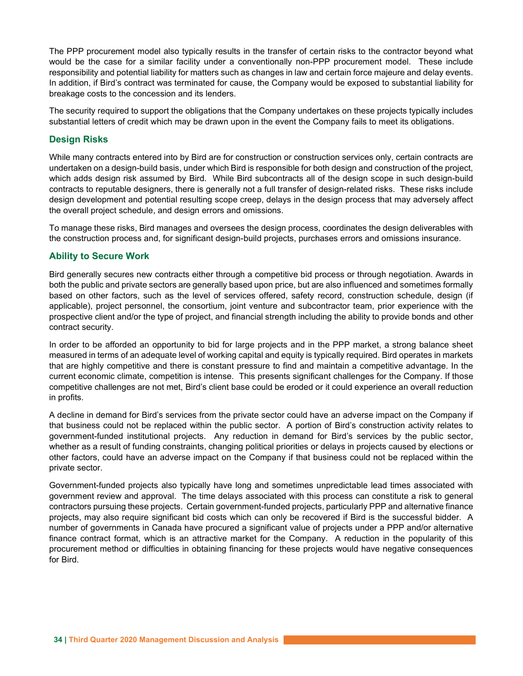The PPP procurement model also typically results in the transfer of certain risks to the contractor beyond what would be the case for a similar facility under a conventionally non-PPP procurement model. These include responsibility and potential liability for matters such as changes in law and certain force majeure and delay events. In addition, if Bird's contract was terminated for cause, the Company would be exposed to substantial liability for breakage costs to the concession and its lenders.

The security required to support the obligations that the Company undertakes on these projects typically includes substantial letters of credit which may be drawn upon in the event the Company fails to meet its obligations.

# Design Risks

While many contracts entered into by Bird are for construction or construction services only, certain contracts are undertaken on a design-build basis, under which Bird is responsible for both design and construction of the project, which adds design risk assumed by Bird. While Bird subcontracts all of the design scope in such design-build contracts to reputable designers, there is generally not a full transfer of design-related risks. These risks include design development and potential resulting scope creep, delays in the design process that may adversely affect the overall project schedule, and design errors and omissions.

To manage these risks, Bird manages and oversees the design process, coordinates the design deliverables with the construction process and, for significant design-build projects, purchases errors and omissions insurance.

# Ability to Secure Work

Bird generally secures new contracts either through a competitive bid process or through negotiation. Awards in both the public and private sectors are generally based upon price, but are also influenced and sometimes formally based on other factors, such as the level of services offered, safety record, construction schedule, design (if applicable), project personnel, the consortium, joint venture and subcontractor team, prior experience with the prospective client and/or the type of project, and financial strength including the ability to provide bonds and other contract security.

In order to be afforded an opportunity to bid for large projects and in the PPP market, a strong balance sheet measured in terms of an adequate level of working capital and equity is typically required. Bird operates in markets that are highly competitive and there is constant pressure to find and maintain a competitive advantage. In the current economic climate, competition is intense. This presents significant challenges for the Company. If those competitive challenges are not met, Bird's client base could be eroded or it could experience an overall reduction in profits.

A decline in demand for Bird's services from the private sector could have an adverse impact on the Company if that business could not be replaced within the public sector. A portion of Bird's construction activity relates to government-funded institutional projects. Any reduction in demand for Bird's services by the public sector, whether as a result of funding constraints, changing political priorities or delays in projects caused by elections or other factors, could have an adverse impact on the Company if that business could not be replaced within the private sector.

Government-funded projects also typically have long and sometimes unpredictable lead times associated with government review and approval. The time delays associated with this process can constitute a risk to general contractors pursuing these projects. Certain government-funded projects, particularly PPP and alternative finance projects, may also require significant bid costs which can only be recovered if Bird is the successful bidder. A number of governments in Canada have procured a significant value of projects under a PPP and/or alternative finance contract format, which is an attractive market for the Company. A reduction in the popularity of this procurement method or difficulties in obtaining financing for these projects would have negative consequences for Bird.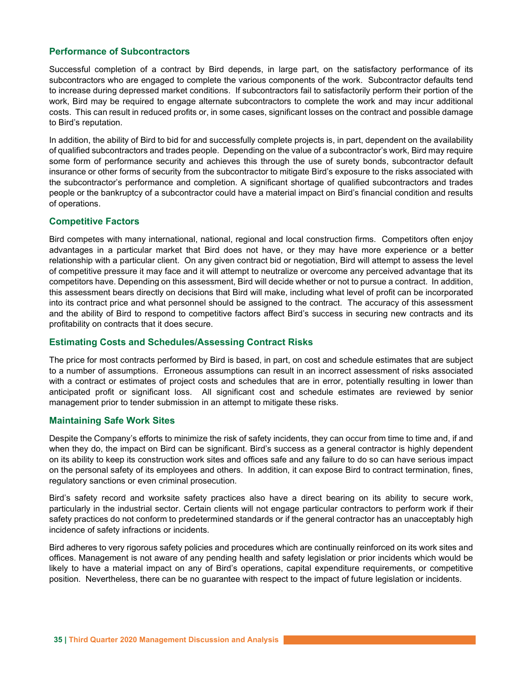# Performance of Subcontractors

Successful completion of a contract by Bird depends, in large part, on the satisfactory performance of its subcontractors who are engaged to complete the various components of the work. Subcontractor defaults tend to increase during depressed market conditions. If subcontractors fail to satisfactorily perform their portion of the work, Bird may be required to engage alternate subcontractors to complete the work and may incur additional costs. This can result in reduced profits or, in some cases, significant losses on the contract and possible damage to Bird's reputation.

In addition, the ability of Bird to bid for and successfully complete projects is, in part, dependent on the availability of qualified subcontractors and trades people. Depending on the value of a subcontractor's work, Bird may require some form of performance security and achieves this through the use of surety bonds, subcontractor default insurance or other forms of security from the subcontractor to mitigate Bird's exposure to the risks associated with the subcontractor's performance and completion. A significant shortage of qualified subcontractors and trades people or the bankruptcy of a subcontractor could have a material impact on Bird's financial condition and results of operations.

# Competitive Factors

Bird competes with many international, national, regional and local construction firms. Competitors often enjoy advantages in a particular market that Bird does not have, or they may have more experience or a better relationship with a particular client. On any given contract bid or negotiation, Bird will attempt to assess the level of competitive pressure it may face and it will attempt to neutralize or overcome any perceived advantage that its competitors have. Depending on this assessment, Bird will decide whether or not to pursue a contract. In addition, this assessment bears directly on decisions that Bird will make, including what level of profit can be incorporated into its contract price and what personnel should be assigned to the contract. The accuracy of this assessment and the ability of Bird to respond to competitive factors affect Bird's success in securing new contracts and its profitability on contracts that it does secure.

# Estimating Costs and Schedules/Assessing Contract Risks

The price for most contracts performed by Bird is based, in part, on cost and schedule estimates that are subject to a number of assumptions. Erroneous assumptions can result in an incorrect assessment of risks associated with a contract or estimates of project costs and schedules that are in error, potentially resulting in lower than anticipated profit or significant loss. All significant cost and schedule estimates are reviewed by senior management prior to tender submission in an attempt to mitigate these risks.

# Maintaining Safe Work Sites

Despite the Company's efforts to minimize the risk of safety incidents, they can occur from time to time and, if and when they do, the impact on Bird can be significant. Bird's success as a general contractor is highly dependent on its ability to keep its construction work sites and offices safe and any failure to do so can have serious impact on the personal safety of its employees and others. In addition, it can expose Bird to contract termination, fines, regulatory sanctions or even criminal prosecution.

Bird's safety record and worksite safety practices also have a direct bearing on its ability to secure work, particularly in the industrial sector. Certain clients will not engage particular contractors to perform work if their safety practices do not conform to predetermined standards or if the general contractor has an unacceptably high incidence of safety infractions or incidents.

Bird adheres to very rigorous safety policies and procedures which are continually reinforced on its work sites and offices. Management is not aware of any pending health and safety legislation or prior incidents which would be likely to have a material impact on any of Bird's operations, capital expenditure requirements, or competitive position. Nevertheless, there can be no guarantee with respect to the impact of future legislation or incidents.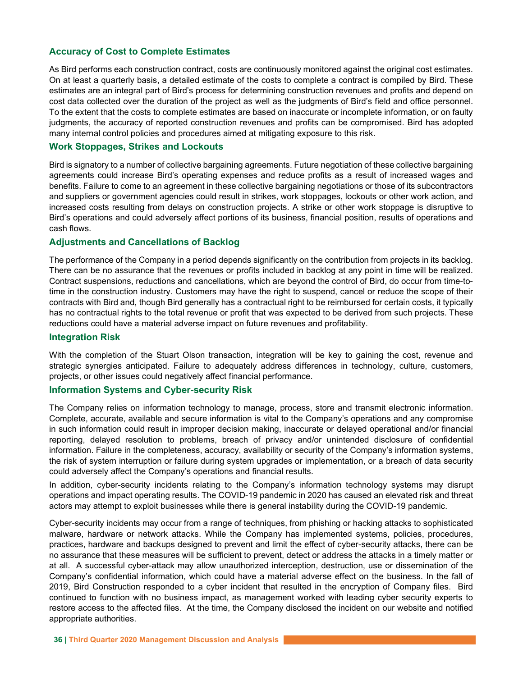# Accuracy of Cost to Complete Estimates

As Bird performs each construction contract, costs are continuously monitored against the original cost estimates. On at least a quarterly basis, a detailed estimate of the costs to complete a contract is compiled by Bird. These estimates are an integral part of Bird's process for determining construction revenues and profits and depend on cost data collected over the duration of the project as well as the judgments of Bird's field and office personnel. To the extent that the costs to complete estimates are based on inaccurate or incomplete information, or on faulty judgments, the accuracy of reported construction revenues and profits can be compromised. Bird has adopted many internal control policies and procedures aimed at mitigating exposure to this risk.

# Work Stoppages, Strikes and Lockouts

Bird is signatory to a number of collective bargaining agreements. Future negotiation of these collective bargaining agreements could increase Bird's operating expenses and reduce profits as a result of increased wages and benefits. Failure to come to an agreement in these collective bargaining negotiations or those of its subcontractors and suppliers or government agencies could result in strikes, work stoppages, lockouts or other work action, and increased costs resulting from delays on construction projects. A strike or other work stoppage is disruptive to Bird's operations and could adversely affect portions of its business, financial position, results of operations and cash flows.

# Adjustments and Cancellations of Backlog

The performance of the Company in a period depends significantly on the contribution from projects in its backlog. There can be no assurance that the revenues or profits included in backlog at any point in time will be realized. Contract suspensions, reductions and cancellations, which are beyond the control of Bird, do occur from time-totime in the construction industry. Customers may have the right to suspend, cancel or reduce the scope of their contracts with Bird and, though Bird generally has a contractual right to be reimbursed for certain costs, it typically has no contractual rights to the total revenue or profit that was expected to be derived from such projects. These reductions could have a material adverse impact on future revenues and profitability.

#### Integration Risk

With the completion of the Stuart Olson transaction, integration will be key to gaining the cost, revenue and strategic synergies anticipated. Failure to adequately address differences in technology, culture, customers, projects, or other issues could negatively affect financial performance.

#### Information Systems and Cyber-security Risk

The Company relies on information technology to manage, process, store and transmit electronic information. Complete, accurate, available and secure information is vital to the Company's operations and any compromise in such information could result in improper decision making, inaccurate or delayed operational and/or financial reporting, delayed resolution to problems, breach of privacy and/or unintended disclosure of confidential information. Failure in the completeness, accuracy, availability or security of the Company's information systems, the risk of system interruption or failure during system upgrades or implementation, or a breach of data security could adversely affect the Company's operations and financial results.

In addition, cyber-security incidents relating to the Company's information technology systems may disrupt operations and impact operating results. The COVID-19 pandemic in 2020 has caused an elevated risk and threat actors may attempt to exploit businesses while there is general instability during the COVID-19 pandemic.

Cyber-security incidents may occur from a range of techniques, from phishing or hacking attacks to sophisticated malware, hardware or network attacks. While the Company has implemented systems, policies, procedures, practices, hardware and backups designed to prevent and limit the effect of cyber-security attacks, there can be no assurance that these measures will be sufficient to prevent, detect or address the attacks in a timely matter or at all. A successful cyber-attack may allow unauthorized interception, destruction, use or dissemination of the Company's confidential information, which could have a material adverse effect on the business. In the fall of 2019, Bird Construction responded to a cyber incident that resulted in the encryption of Company files. Bird continued to function with no business impact, as management worked with leading cyber security experts to restore access to the affected files. At the time, the Company disclosed the incident on our website and notified appropriate authorities.